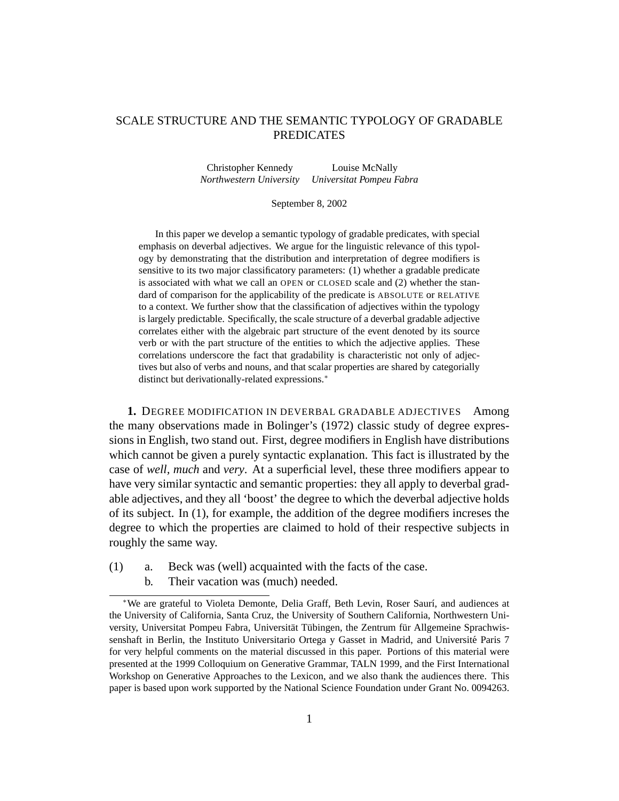# SCALE STRUCTURE AND THE SEMANTIC TYPOLOGY OF GRADABLE PREDICATES

Christopher Kennedy Louise McNally *Northwestern University Universitat Pompeu Fabra*

#### September 8, 2002

In this paper we develop a semantic typology of gradable predicates, with special emphasis on deverbal adjectives. We argue for the linguistic relevance of this typology by demonstrating that the distribution and interpretation of degree modifiers is sensitive to its two major classificatory parameters: (1) whether a gradable predicate is associated with what we call an OPEN or CLOSED scale and (2) whether the standard of comparison for the applicability of the predicate is ABSOLUTE or RELATIVE to a context. We further show that the classification of adjectives within the typology is largely predictable. Specifically, the scale structure of a deverbal gradable adjective correlates either with the algebraic part structure of the event denoted by its source verb or with the part structure of the entities to which the adjective applies. These correlations underscore the fact that gradability is characteristic not only of adjectives but also of verbs and nouns, and that scalar properties are shared by categorially distinct but derivationally-related expressions.<sup>∗</sup>

**1.** DEGREE MODIFICATION IN DEVERBAL GRADABLE ADJECTIVES Among the many observations made in Bolinger's (1972) classic study of degree expressions in English, two stand out. First, degree modifiers in English have distributions which cannot be given a purely syntactic explanation. This fact is illustrated by the case of *well, much* and *very*. At a superficial level, these three modifiers appear to have very similar syntactic and semantic properties: they all apply to deverbal gradable adjectives, and they all 'boost' the degree to which the deverbal adjective holds of its subject. In (1), for example, the addition of the degree modifiers increses the degree to which the properties are claimed to hold of their respective subjects in roughly the same way.

- (1) a. Beck was (well) acquainted with the facts of the case.
	- b. Their vacation was (much) needed.

<sup>\*</sup>We are grateful to Violeta Demonte, Delia Graff, Beth Levin, Roser Saurí, and audiences at the University of California, Santa Cruz, the University of Southern California, Northwestern University, Universitat Pompeu Fabra, Universität Tübingen, the Zentrum für Allgemeine Sprachwissenshaft in Berlin, the Instituto Universitario Ortega y Gasset in Madrid, and Université Paris 7 for very helpful comments on the material discussed in this paper. Portions of this material were presented at the 1999 Colloquium on Generative Grammar, TALN 1999, and the First International Workshop on Generative Approaches to the Lexicon, and we also thank the audiences there. This paper is based upon work supported by the National Science Foundation under Grant No. 0094263.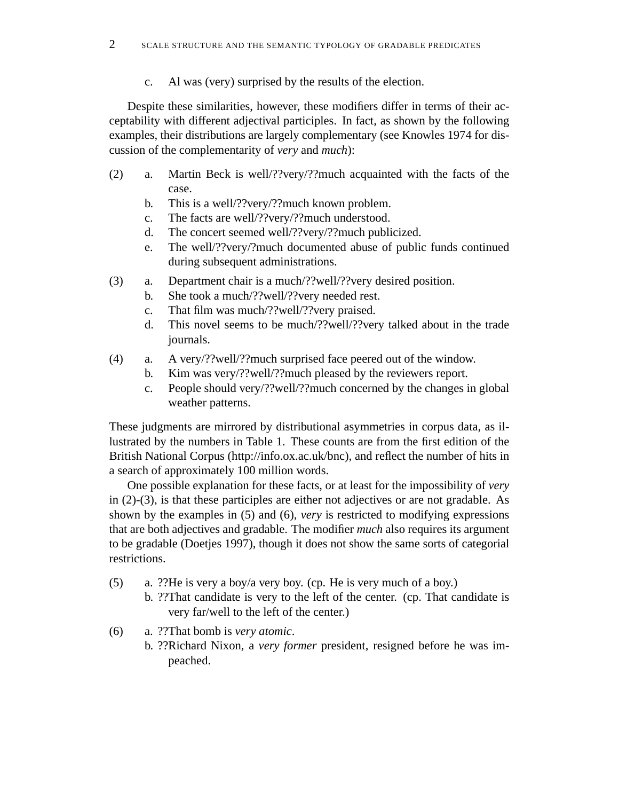c. Al was (very) surprised by the results of the election.

Despite these similarities, however, these modifiers differ in terms of their acceptability with different adjectival participles. In fact, as shown by the following examples, their distributions are largely complementary (see Knowles 1974 for discussion of the complementarity of *very* and *much*):

- (2) a. Martin Beck is well/??very/??much acquainted with the facts of the case.
	- b. This is a well/??very/??much known problem.
	- c. The facts are well/??very/??much understood.
	- d. The concert seemed well/??very/??much publicized.
	- e. The well/??very/?much documented abuse of public funds continued during subsequent administrations.
- (3) a. Department chair is a much/??well/??very desired position.
	- b. She took a much/??well/??very needed rest.
		- c. That film was much/??well/??very praised.
		- d. This novel seems to be much/??well/??very talked about in the trade journals.
- (4) a. A very/??well/??much surprised face peered out of the window.
	- b. Kim was very/??well/??much pleased by the reviewers report.
	- c. People should very/??well/??much concerned by the changes in global weather patterns.

These judgments are mirrored by distributional asymmetries in corpus data, as illustrated by the numbers in Table 1. These counts are from the first edition of the British National Corpus (http://info.ox.ac.uk/bnc), and reflect the number of hits in a search of approximately 100 million words.

One possible explanation for these facts, or at least for the impossibility of *very* in (2)-(3), is that these participles are either not adjectives or are not gradable. As shown by the examples in (5) and (6), *very* is restricted to modifying expressions that are both adjectives and gradable. The modifier *much* also requires its argument to be gradable (Doetjes 1997), though it does not show the same sorts of categorial restrictions.

- (5) a. ??He is very a boy/a very boy. (cp. He is very much of a boy.)
	- b. ??That candidate is very to the left of the center. (cp. That candidate is very far/well to the left of the center.)
- (6) a. ??That bomb is *very atomic*.
	- b. ??Richard Nixon, a *very former* president, resigned before he was impeached.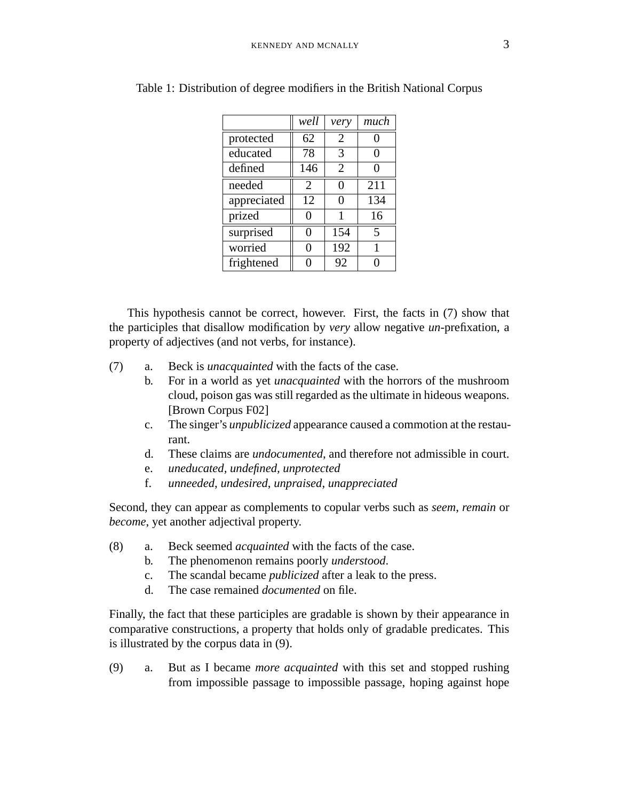|             | well | very                  | much |
|-------------|------|-----------------------|------|
| protected   | 62   | $\overline{2}$        | 0    |
| educated    | 78   | 3                     | 0    |
| defined     | 146  | $\mathcal{D}_{\cdot}$ | ∩    |
| needed      | 2    | 0                     | 211  |
| appreciated | 12   | 0                     | 134  |
| prized      | 0    |                       | 16   |
| surprised   | 0    | 154                   | 5    |
| worried     | 0    | 192                   | 1    |
| frightened  |      | 92                    |      |

Table 1: Distribution of degree modifiers in the British National Corpus

This hypothesis cannot be correct, however. First, the facts in (7) show that the participles that disallow modification by *very* allow negative *un*-prefixation, a property of adjectives (and not verbs, for instance).

- (7) a. Beck is *unacquainted* with the facts of the case.
	- b. For in a world as yet *unacquainted* with the horrors of the mushroom cloud, poison gas was still regarded as the ultimate in hideous weapons. [Brown Corpus F02]
	- c. The singer's *unpublicized* appearance caused a commotion at the restaurant.
	- d. These claims are *undocumented*, and therefore not admissible in court.
	- e. *uneducated, undefined, unprotected*
	- f. *unneeded*, *undesired*, *unpraised*, *unappreciated*

Second, they can appear as complements to copular verbs such as *seem*, *remain* or *become*, yet another adjectival property.

- (8) a. Beck seemed *acquainted* with the facts of the case.
	- b. The phenomenon remains poorly *understood*.
	- c. The scandal became *publicized* after a leak to the press.
	- d. The case remained *documented* on file.

Finally, the fact that these participles are gradable is shown by their appearance in comparative constructions, a property that holds only of gradable predicates. This is illustrated by the corpus data in (9).

(9) a. But as I became *more acquainted* with this set and stopped rushing from impossible passage to impossible passage, hoping against hope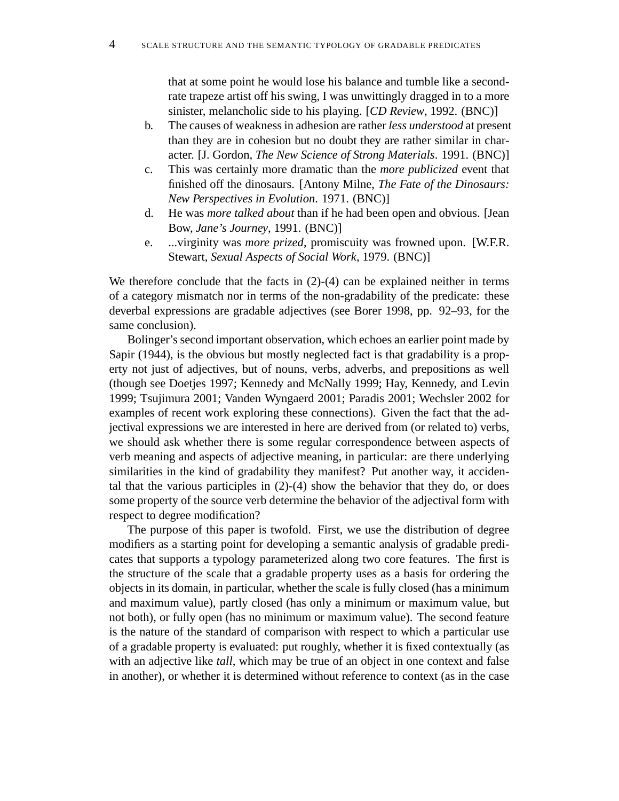that at some point he would lose his balance and tumble like a secondrate trapeze artist off his swing, I was unwittingly dragged in to a more sinister, melancholic side to his playing. [*CD Review*, 1992. (BNC)]

- b. The causes of weakness in adhesion are rather *less understood* at present than they are in cohesion but no doubt they are rather similar in character. [J. Gordon, *The New Science of Strong Materials*. 1991. (BNC)]
- c. This was certainly more dramatic than the *more publicized* event that finished off the dinosaurs. [Antony Milne, *The Fate of the Dinosaurs: New Perspectives in Evolution*. 1971. (BNC)]
- d. He was *more talked about* than if he had been open and obvious. [Jean Bow, *Jane's Journey*, 1991. (BNC)]
- e. ...virginity was *more prized*, promiscuity was frowned upon. [W.F.R. Stewart, *Sexual Aspects of Social Work*, 1979. (BNC)]

We therefore conclude that the facts in  $(2)-(4)$  can be explained neither in terms of a category mismatch nor in terms of the non-gradability of the predicate: these deverbal expressions are gradable adjectives (see Borer 1998, pp. 92–93, for the same conclusion).

Bolinger's second important observation, which echoes an earlier point made by Sapir (1944), is the obvious but mostly neglected fact is that gradability is a property not just of adjectives, but of nouns, verbs, adverbs, and prepositions as well (though see Doetjes 1997; Kennedy and McNally 1999; Hay, Kennedy, and Levin 1999; Tsujimura 2001; Vanden Wyngaerd 2001; Paradis 2001; Wechsler 2002 for examples of recent work exploring these connections). Given the fact that the adjectival expressions we are interested in here are derived from (or related to) verbs, we should ask whether there is some regular correspondence between aspects of verb meaning and aspects of adjective meaning, in particular: are there underlying similarities in the kind of gradability they manifest? Put another way, it accidental that the various participles in  $(2)-(4)$  show the behavior that they do, or does some property of the source verb determine the behavior of the adjectival form with respect to degree modification?

The purpose of this paper is twofold. First, we use the distribution of degree modifiers as a starting point for developing a semantic analysis of gradable predicates that supports a typology parameterized along two core features. The first is the structure of the scale that a gradable property uses as a basis for ordering the objects in its domain, in particular, whether the scale is fully closed (has a minimum and maximum value), partly closed (has only a minimum or maximum value, but not both), or fully open (has no minimum or maximum value). The second feature is the nature of the standard of comparison with respect to which a particular use of a gradable property is evaluated: put roughly, whether it is fixed contextually (as with an adjective like *tall*, which may be true of an object in one context and false in another), or whether it is determined without reference to context (as in the case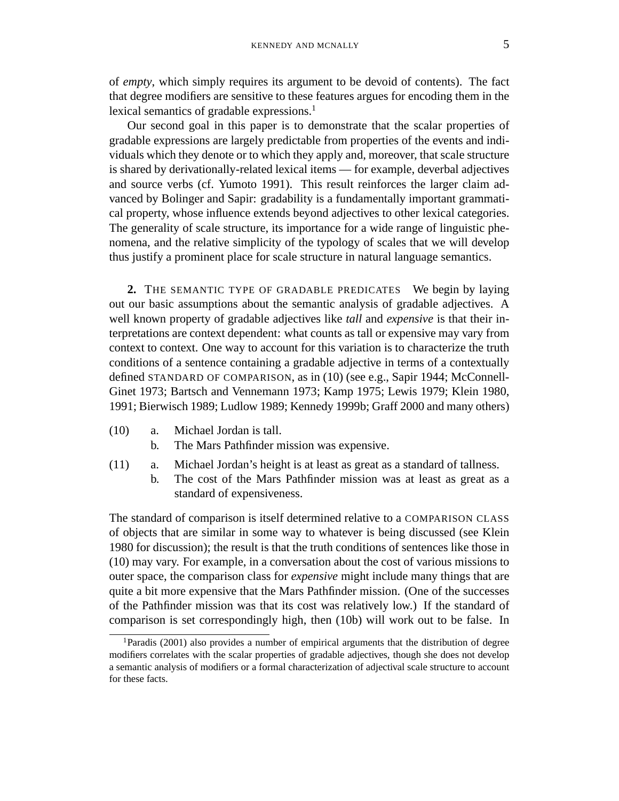of *empty*, which simply requires its argument to be devoid of contents). The fact that degree modifiers are sensitive to these features argues for encoding them in the lexical semantics of gradable expressions.<sup>1</sup>

Our second goal in this paper is to demonstrate that the scalar properties of gradable expressions are largely predictable from properties of the events and individuals which they denote or to which they apply and, moreover, that scale structure is shared by derivationally-related lexical items — for example, deverbal adjectives and source verbs (cf. Yumoto 1991). This result reinforces the larger claim advanced by Bolinger and Sapir: gradability is a fundamentally important grammatical property, whose influence extends beyond adjectives to other lexical categories. The generality of scale structure, its importance for a wide range of linguistic phenomena, and the relative simplicity of the typology of scales that we will develop thus justify a prominent place for scale structure in natural language semantics.

**2.** THE SEMANTIC TYPE OF GRADABLE PREDICATES We begin by laying out our basic assumptions about the semantic analysis of gradable adjectives. A well known property of gradable adjectives like *tall* and *expensive* is that their interpretations are context dependent: what counts as tall or expensive may vary from context to context. One way to account for this variation is to characterize the truth conditions of a sentence containing a gradable adjective in terms of a contextually defined STANDARD OF COMPARISON, as in (10) (see e.g., Sapir 1944; McConnell-Ginet 1973; Bartsch and Vennemann 1973; Kamp 1975; Lewis 1979; Klein 1980, 1991; Bierwisch 1989; Ludlow 1989; Kennedy 1999b; Graff 2000 and many others)

- (10) a. Michael Jordan is tall.
	- b. The Mars Pathfinder mission was expensive.
- (11) a. Michael Jordan's height is at least as great as a standard of tallness.
	- b. The cost of the Mars Pathfinder mission was at least as great as a standard of expensiveness.

The standard of comparison is itself determined relative to a COMPARISON CLASS of objects that are similar in some way to whatever is being discussed (see Klein 1980 for discussion); the result is that the truth conditions of sentences like those in (10) may vary. For example, in a conversation about the cost of various missions to outer space, the comparison class for *expensive* might include many things that are quite a bit more expensive that the Mars Pathfinder mission. (One of the successes of the Pathfinder mission was that its cost was relatively low.) If the standard of comparison is set correspondingly high, then (10b) will work out to be false. In

<sup>1</sup>Paradis (2001) also provides a number of empirical arguments that the distribution of degree modifiers correlates with the scalar properties of gradable adjectives, though she does not develop a semantic analysis of modifiers or a formal characterization of adjectival scale structure to account for these facts.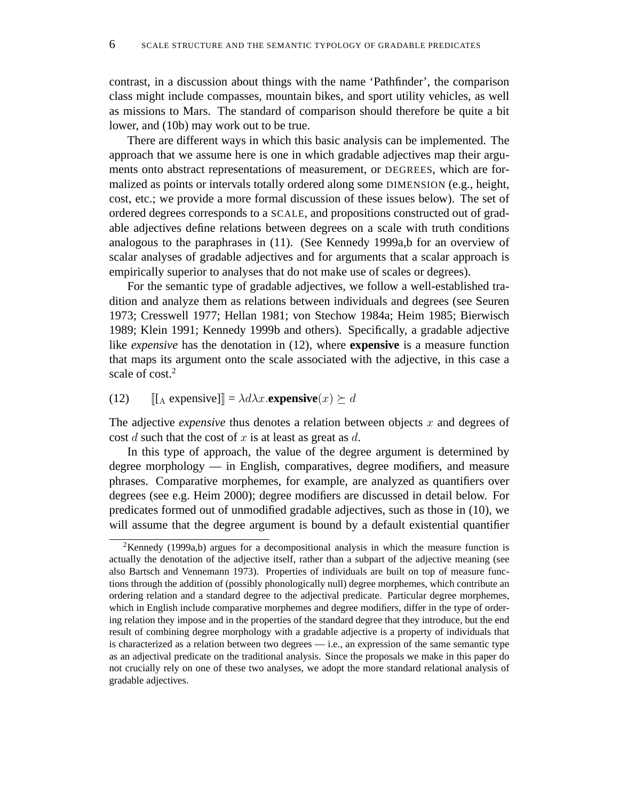contrast, in a discussion about things with the name 'Pathfinder', the comparison class might include compasses, mountain bikes, and sport utility vehicles, as well as missions to Mars. The standard of comparison should therefore be quite a bit lower, and (10b) may work out to be true.

There are different ways in which this basic analysis can be implemented. The approach that we assume here is one in which gradable adjectives map their arguments onto abstract representations of measurement, or DEGREES, which are formalized as points or intervals totally ordered along some DIMENSION (e.g., height, cost, etc.; we provide a more formal discussion of these issues below). The set of ordered degrees corresponds to a SCALE, and propositions constructed out of gradable adjectives define relations between degrees on a scale with truth conditions analogous to the paraphrases in (11). (See Kennedy 1999a,b for an overview of scalar analyses of gradable adjectives and for arguments that a scalar approach is empirically superior to analyses that do not make use of scales or degrees).

For the semantic type of gradable adjectives, we follow a well-established tradition and analyze them as relations between individuals and degrees (see Seuren 1973; Cresswell 1977; Hellan 1981; von Stechow 1984a; Heim 1985; Bierwisch 1989; Klein 1991; Kennedy 1999b and others). Specifically, a gradable adjective like *expensive* has the denotation in (12), where **expensive** is a measure function that maps its argument onto the scale associated with the adjective, in this case a scale of  $cost<sup>2</sup>$ 

(12)  $\left[\begin{bmatrix}A \exp\exp\sin\psi\end{bmatrix}\right] = \lambda d\lambda x.\exp\exp\sin\psi(x) \succeq d$ 

The adjective *expensive* thus denotes a relation between objects x and degrees of cost  $d$  such that the cost of  $x$  is at least as great as  $d$ .

In this type of approach, the value of the degree argument is determined by degree morphology — in English, comparatives, degree modifiers, and measure phrases. Comparative morphemes, for example, are analyzed as quantifiers over degrees (see e.g. Heim 2000); degree modifiers are discussed in detail below. For predicates formed out of unmodified gradable adjectives, such as those in (10), we will assume that the degree argument is bound by a default existential quantifier

<sup>&</sup>lt;sup>2</sup>Kennedy (1999a,b) argues for a decompositional analysis in which the measure function is actually the denotation of the adjective itself, rather than a subpart of the adjective meaning (see also Bartsch and Vennemann 1973). Properties of individuals are built on top of measure functions through the addition of (possibly phonologically null) degree morphemes, which contribute an ordering relation and a standard degree to the adjectival predicate. Particular degree morphemes, which in English include comparative morphemes and degree modifiers, differ in the type of ordering relation they impose and in the properties of the standard degree that they introduce, but the end result of combining degree morphology with a gradable adjective is a property of individuals that is characterized as a relation between two degrees  $-$  i.e., an expression of the same semantic type as an adjectival predicate on the traditional analysis. Since the proposals we make in this paper do not crucially rely on one of these two analyses, we adopt the more standard relational analysis of gradable adjectives.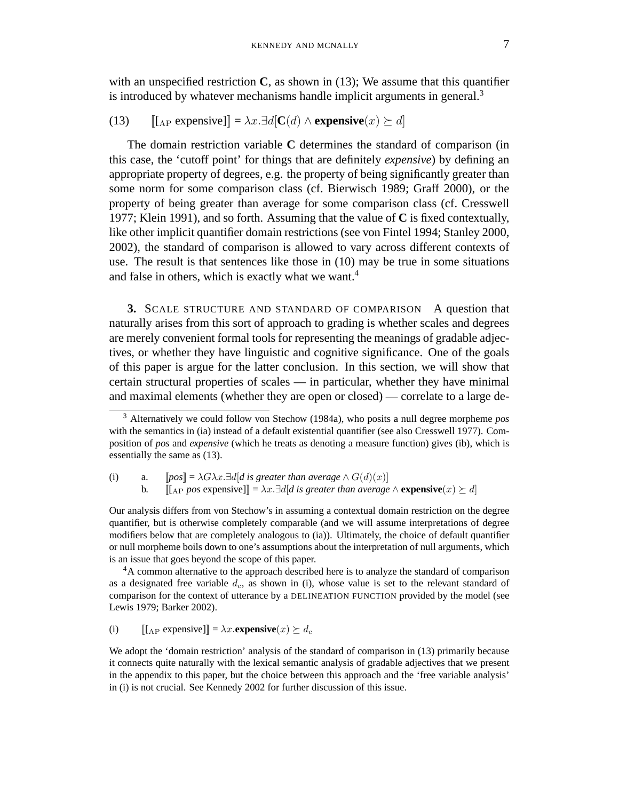with an unspecified restriction **C**, as shown in (13); We assume that this quantifier is introduced by whatever mechanisms handle implicit arguments in general.<sup>3</sup>

(13)  $[[A] \text{ [Lap} \text{ [Lap} \text{ [Lap} \text{ ]} \text{ ]} = \lambda x. \exists d [\textbf{C}(d) \wedge \textbf{expensive}(x) \succeq d]$ 

The domain restriction variable **C** determines the standard of comparison (in this case, the 'cutoff point' for things that are definitely *expensive*) by defining an appropriate property of degrees, e.g. the property of being significantly greater than some norm for some comparison class (cf. Bierwisch 1989; Graff 2000), or the property of being greater than average for some comparison class (cf. Cresswell 1977; Klein 1991), and so forth. Assuming that the value of **C** is fixed contextually, like other implicit quantifier domain restrictions (see von Fintel 1994; Stanley 2000, 2002), the standard of comparison is allowed to vary across different contexts of use. The result is that sentences like those in (10) may be true in some situations and false in others, which is exactly what we want.<sup>4</sup>

**3.** SCALE STRUCTURE AND STANDARD OF COMPARISON A question that naturally arises from this sort of approach to grading is whether scales and degrees are merely convenient formal tools for representing the meanings of gradable adjectives, or whether they have linguistic and cognitive significance. One of the goals of this paper is argue for the latter conclusion. In this section, we will show that certain structural properties of scales — in particular, whether they have minimal and maximal elements (whether they are open or closed) — correlate to a large de-

(i) a.  $[[pos] = \lambda G \lambda x \cdot \exists d | d$  is greater than average  $\wedge G(d)(x)]$ b.  $[[A] \text{pos expensive}]] = \lambda x \cdot \exists d \exists d \exists s \text{ greater than average } \land \text{expensive}(x) \geq d]$ 

Our analysis differs from von Stechow's in assuming a contextual domain restriction on the degree quantifier, but is otherwise completely comparable (and we will assume interpretations of degree modifiers below that are completely analogous to (ia)). Ultimately, the choice of default quantifier or null morpheme boils down to one's assumptions about the interpretation of null arguments, which is an issue that goes beyond the scope of this paper.

<sup>4</sup>A common alternative to the approach described here is to analyze the standard of comparison as a designated free variable  $d_c$ , as shown in (i), whose value is set to the relevant standard of comparison for the context of utterance by a DELINEATION FUNCTION provided by the model (see Lewis 1979; Barker 2002).

(i)  $[[A]$  expensive] $] = \lambda x$ **. expensive** $(x) \succeq d_c$ 

We adopt the 'domain restriction' analysis of the standard of comparison in (13) primarily because it connects quite naturally with the lexical semantic analysis of gradable adjectives that we present in the appendix to this paper, but the choice between this approach and the 'free variable analysis' in (i) is not crucial. See Kennedy 2002 for further discussion of this issue.

<sup>3</sup> Alternatively we could follow von Stechow (1984a), who posits a null degree morpheme *pos* with the semantics in (ia) instead of a default existential quantifier (see also Cresswell 1977). Composition of *pos* and *expensive* (which he treats as denoting a measure function) gives (ib), which is essentially the same as (13).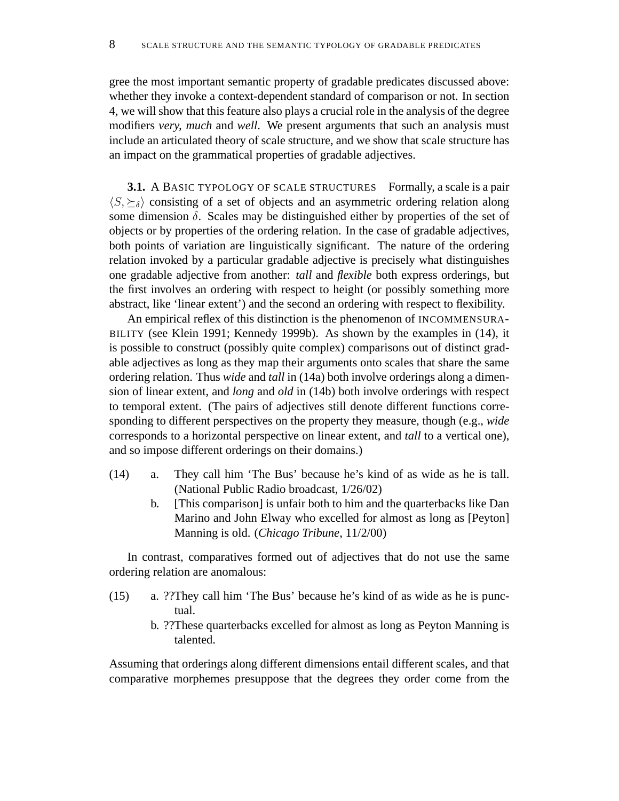gree the most important semantic property of gradable predicates discussed above: whether they invoke a context-dependent standard of comparison or not. In section 4, we will show that this feature also plays a crucial role in the analysis of the degree modifiers *very, much* and *well*. We present arguments that such an analysis must include an articulated theory of scale structure, and we show that scale structure has an impact on the grammatical properties of gradable adjectives.

**3.1.** A BASIC TYPOLOGY OF SCALE STRUCTURES Formally, a scale is a pair  $\langle S, \succeq_{\delta} \rangle$  consisting of a set of objects and an asymmetric ordering relation along some dimension  $\delta$ . Scales may be distinguished either by properties of the set of objects or by properties of the ordering relation. In the case of gradable adjectives, both points of variation are linguistically significant. The nature of the ordering relation invoked by a particular gradable adjective is precisely what distinguishes one gradable adjective from another: *tall* and *flexible* both express orderings, but the first involves an ordering with respect to height (or possibly something more abstract, like 'linear extent') and the second an ordering with respect to flexibility.

An empirical reflex of this distinction is the phenomenon of INCOMMENSURA-BILITY (see Klein 1991; Kennedy 1999b). As shown by the examples in (14), it is possible to construct (possibly quite complex) comparisons out of distinct gradable adjectives as long as they map their arguments onto scales that share the same ordering relation. Thus *wide* and *tall* in (14a) both involve orderings along a dimension of linear extent, and *long* and *old* in (14b) both involve orderings with respect to temporal extent. (The pairs of adjectives still denote different functions corresponding to different perspectives on the property they measure, though (e.g., *wide* corresponds to a horizontal perspective on linear extent, and *tall* to a vertical one), and so impose different orderings on their domains.)

- (14) a. They call him 'The Bus' because he's kind of as wide as he is tall. (National Public Radio broadcast, 1/26/02)
	- b. [This comparison] is unfair both to him and the quarterbacks like Dan Marino and John Elway who excelled for almost as long as [Peyton] Manning is old. (*Chicago Tribune*, 11/2/00)

In contrast, comparatives formed out of adjectives that do not use the same ordering relation are anomalous:

- (15) a. ??They call him 'The Bus' because he's kind of as wide as he is punctual.
	- b. ??These quarterbacks excelled for almost as long as Peyton Manning is talented.

Assuming that orderings along different dimensions entail different scales, and that comparative morphemes presuppose that the degrees they order come from the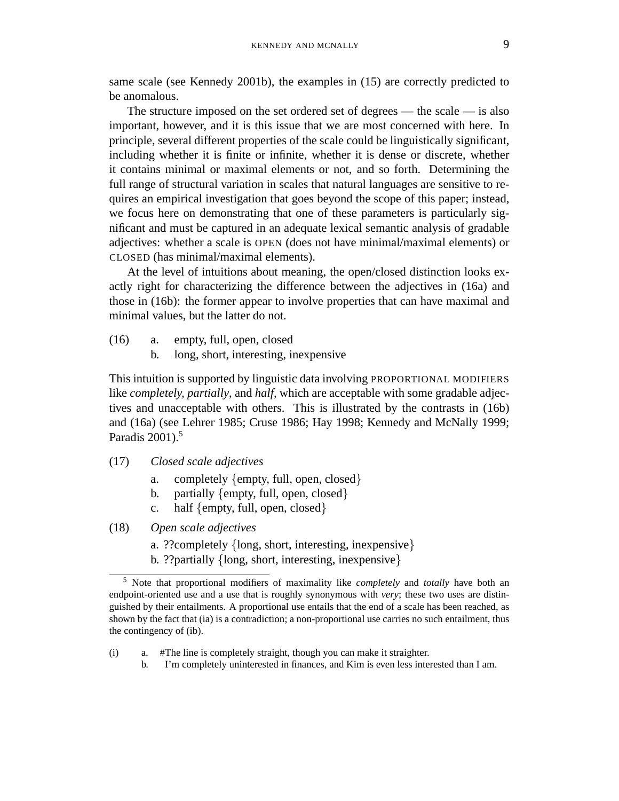same scale (see Kennedy 2001b), the examples in (15) are correctly predicted to be anomalous.

The structure imposed on the set ordered set of degrees — the scale — is also important, however, and it is this issue that we are most concerned with here. In principle, several different properties of the scale could be linguistically significant, including whether it is finite or infinite, whether it is dense or discrete, whether it contains minimal or maximal elements or not, and so forth. Determining the full range of structural variation in scales that natural languages are sensitive to requires an empirical investigation that goes beyond the scope of this paper; instead, we focus here on demonstrating that one of these parameters is particularly significant and must be captured in an adequate lexical semantic analysis of gradable adjectives: whether a scale is OPEN (does not have minimal/maximal elements) or CLOSED (has minimal/maximal elements).

At the level of intuitions about meaning, the open/closed distinction looks exactly right for characterizing the difference between the adjectives in (16a) and those in (16b): the former appear to involve properties that can have maximal and minimal values, but the latter do not.

- (16) a. empty, full, open, closed
	- b. long, short, interesting, inexpensive

This intuition is supported by linguistic data involving PROPORTIONAL MODIFIERS like *completely, partially*, and *half*, which are acceptable with some gradable adjectives and unacceptable with others. This is illustrated by the contrasts in (16b) and (16a) (see Lehrer 1985; Cruse 1986; Hay 1998; Kennedy and McNally 1999; Paradis  $2001$ ).<sup>5</sup>

- (17) *Closed scale adjectives*
	- a. completely {empty, full, open, closed}
	- b. partially {empty, full, open, closed}
	- c. half {empty, full, open, closed}
- (18) *Open scale adjectives*
	- a. ??completely {long, short, interesting, inexpensive}
	- b. ??partially {long, short, interesting, inexpensive}

b. I'm completely uninterested in finances, and Kim is even less interested than I am.

<sup>5</sup> Note that proportional modifiers of maximality like *completely* and *totally* have both an endpoint-oriented use and a use that is roughly synonymous with *very*; these two uses are distinguished by their entailments. A proportional use entails that the end of a scale has been reached, as shown by the fact that (ia) is a contradiction; a non-proportional use carries no such entailment, thus the contingency of (ib).

<sup>(</sup>i) a. #The line is completely straight, though you can make it straighter.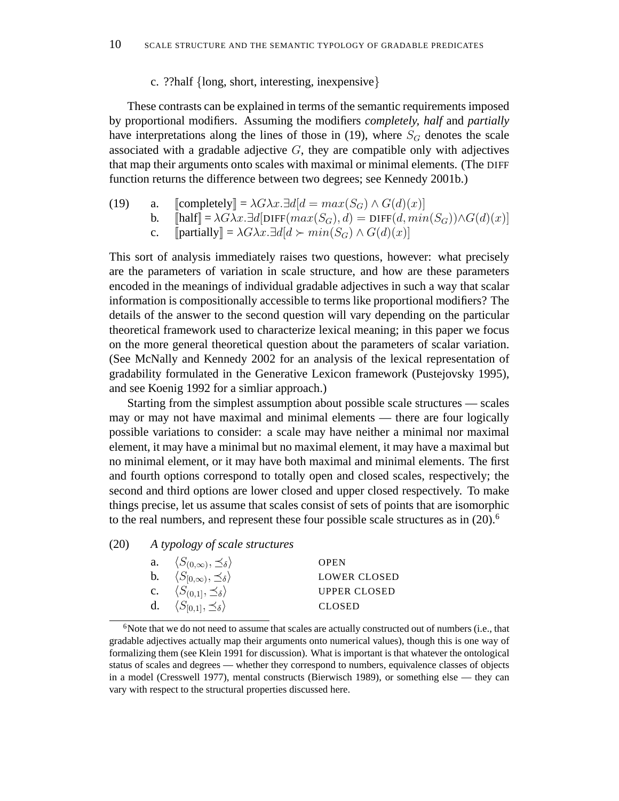### c. ??half {long, short, interesting, inexpensive}

These contrasts can be explained in terms of the semantic requirements imposed by proportional modifiers. Assuming the modifiers *completely, half* and *partially* have interpretations along the lines of those in (19), where  $S_G$  denotes the scale associated with a gradable adjective  $G$ , they are compatible only with adjectives that map their arguments onto scales with maximal or minimal elements. (The DIFF function returns the difference between two degrees; see Kennedy 2001b.)

- (19) a.  $\text{[completely]} = \lambda G \lambda x. \exists d | d = max(S_G) \wedge G(d)(x)$ 
	- b.  $[\text{half}] = \lambda G \lambda x \cdot \exists d[\text{DIFF}(max(S_G), d) = \text{DIFF}(d, min(S_G)) \wedge G(d)(x)]$
	- c. [[partially] =  $\lambda G \lambda x. \exists d | d \succ min(S_G) \wedge G(d)(x)$ ]

This sort of analysis immediately raises two questions, however: what precisely are the parameters of variation in scale structure, and how are these parameters encoded in the meanings of individual gradable adjectives in such a way that scalar information is compositionally accessible to terms like proportional modifiers? The details of the answer to the second question will vary depending on the particular theoretical framework used to characterize lexical meaning; in this paper we focus on the more general theoretical question about the parameters of scalar variation. (See McNally and Kennedy 2002 for an analysis of the lexical representation of gradability formulated in the Generative Lexicon framework (Pustejovsky 1995), and see Koenig 1992 for a simliar approach.)

Starting from the simplest assumption about possible scale structures — scales may or may not have maximal and minimal elements — there are four logically possible variations to consider: a scale may have neither a minimal nor maximal element, it may have a minimal but no maximal element, it may have a maximal but no minimal element, or it may have both maximal and minimal elements. The first and fourth options correspond to totally open and closed scales, respectively; the second and third options are lower closed and upper closed respectively. To make things precise, let us assume that scales consist of sets of points that are isomorphic to the real numbers, and represent these four possible scale structures as in  $(20)$ .<sup>6</sup>

## (20) *A typology of scale structures*

| a. $\langle S_{(0,\infty)}, \preceq_{\delta} \rangle$        | <b>OPEN</b>         |
|--------------------------------------------------------------|---------------------|
| <b>b.</b> $\langle S_{[0,\infty)}, \preceq_{\delta} \rangle$ | LOWER CLOSED        |
| c. $\langle S_{(0,1)}, \preceq_{\delta} \rangle$             | <b>UPPER CLOSED</b> |
| d. $\langle S_{[0,1]}, \preceq_{\delta} \rangle$             | <b>CLOSED</b>       |

 $6N$  Note that we do not need to assume that scales are actually constructed out of numbers (i.e., that gradable adjectives actually map their arguments onto numerical values), though this is one way of formalizing them (see Klein 1991 for discussion). What is important is that whatever the ontological status of scales and degrees — whether they correspond to numbers, equivalence classes of objects in a model (Cresswell 1977), mental constructs (Bierwisch 1989), or something else — they can vary with respect to the structural properties discussed here.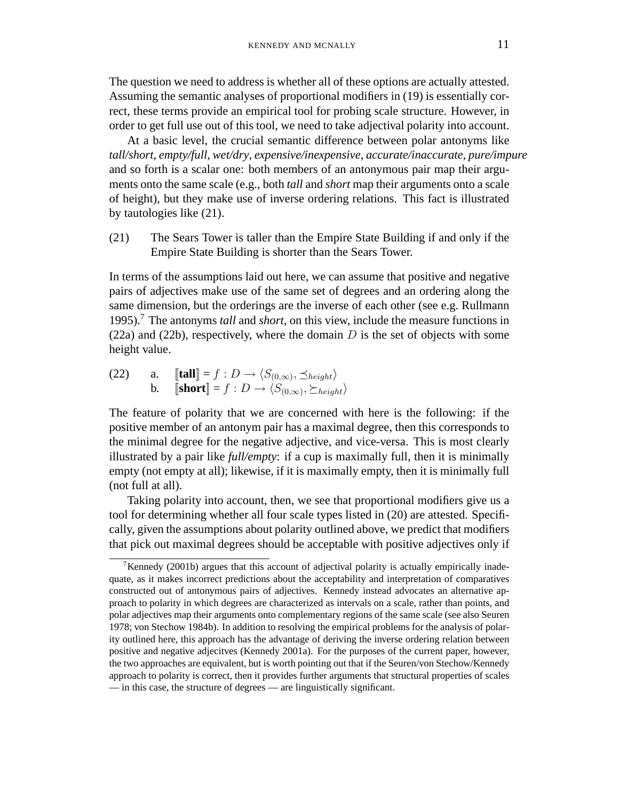The question we need to address is whether all of these options are actually attested. Assuming the semantic analyses of proportional modifiers in (19) is essentially correct, these terms provide an empirical tool for probing scale structure. However, in order to get full use out of this tool, we need to take adjectival polarity into account.

At a basic level, the crucial semantic difference between polar antonyms like *tall/short*, *empty/full*, *wet/dry*, *expensive/inexpensive*, *accurate/inaccurate*, *pure/impure* and so forth is a scalar one: both members of an antonymous pair map their arguments onto the same scale (e.g., both *tall* and *short* map their arguments onto a scale of height), but they make use of inverse ordering relations. This fact is illustrated by tautologies like (21).

(21) The Sears Tower is taller than the Empire State Building if and only if the Empire State Building is shorter than the Sears Tower.

In terms of the assumptions laid out here, we can assume that positive and negative pairs of adjectives make use of the same set of degrees and an ordering along the same dimension, but the orderings are the inverse of each other (see e.g. Rullmann 1995).<sup>7</sup> The antonyms *tall* and *short*, on this view, include the measure functions in (22a) and (22b), respectively, where the domain  $D$  is the set of objects with some height value.

 $(22)$  a.  $[\![\textbf{tall}]\!] = f : D \rightarrow \langle S_{(0,\infty)}, \preceq_{height} \rangle$ **b.**  $[\textbf{short}] = f : D \rightarrow \langle S_{(0,\infty)}, \succeq_{height} \rangle$ 

The feature of polarity that we are concerned with here is the following: if the positive member of an antonym pair has a maximal degree, then this corresponds to the minimal degree for the negative adjective, and vice-versa. This is most clearly illustrated by a pair like *full/empty*: if a cup is maximally full, then it is minimally empty (not empty at all); likewise, if it is maximally empty, then it is minimally full (not full at all).

Taking polarity into account, then, we see that proportional modifiers give us a tool for determining whether all four scale types listed in (20) are attested. Specifically, given the assumptions about polarity outlined above, we predict that modifiers that pick out maximal degrees should be acceptable with positive adjectives only if

<sup>&</sup>lt;sup>7</sup>Kennedy (2001b) argues that this account of adjectival polarity is actually empirically inadequate, as it makes incorrect predictions about the acceptability and interpretation of comparatives constructed out of antonymous pairs of adjectives. Kennedy instead advocates an alternative approach to polarity in which degrees are characterized as intervals on a scale, rather than points, and polar adjectives map their arguments onto complementary regions of the same scale (see also Seuren 1978; von Stechow 1984b). In addition to resolving the empirical problems for the analysis of polarity outlined here, this approach has the advantage of deriving the inverse ordering relation between positive and negative adjecitves (Kennedy 2001a). For the purposes of the current paper, however, the two approaches are equivalent, but is worth pointing out that if the Seuren/von Stechow/Kennedy approach to polarity is correct, then it provides further arguments that structural properties of scales — in this case, the structure of degrees — are linguistically significant.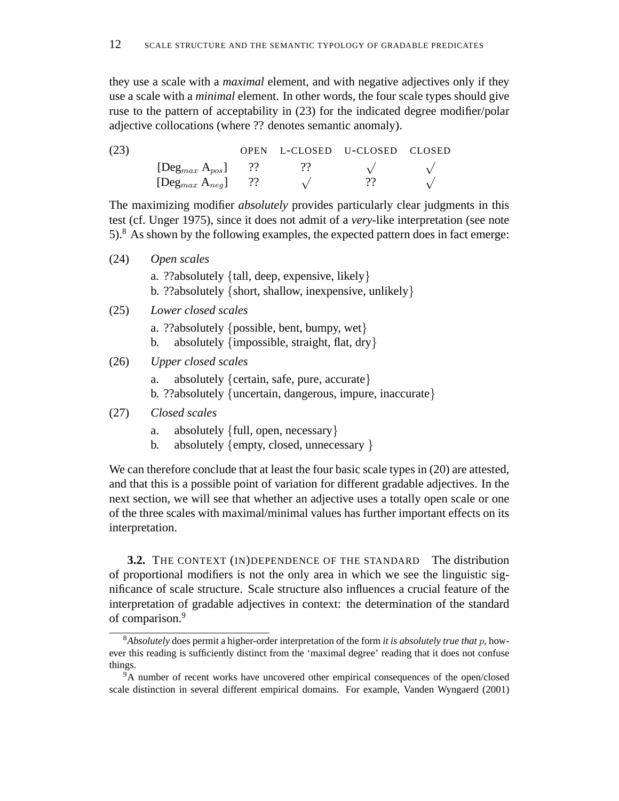they use a scale with a *maximal* element, and with negative adjectives only if they use a scale with a *minimal* element. In other words, the four scale types should give ruse to the pattern of acceptability in (23) for the indicated degree modifier/polar adjective collocations (where ?? denotes semantic anomaly).

| (23) |                          |  | OPEN L-CLOSED U-CLOSED CLOSED |  |
|------|--------------------------|--|-------------------------------|--|
|      | $[Deg_{max} A_{pos}]$ ?? |  |                               |  |
|      | $[Deg_{max} A_{neg}]$ ?? |  |                               |  |

The maximizing modifier *absolutely* provides particularly clear judgments in this test (cf. Unger 1975), since it does not admit of a *very*-like interpretation (see note  $5$ ).<sup>8</sup> As shown by the following examples, the expected pattern does in fact emerge:

- (24) *Open scales* a. ??absolutely {tall, deep, expensive, likely} b. ??absolutely {short, shallow, inexpensive, unlikely} (25) *Lower closed scales* a. ??absolutely {possible, bent, bumpy, wet}
	- b. absolutely {impossible, straight, flat, dry}
- (26) *Upper closed scales*
	- a. absolutely {certain, safe, pure, accurate} b. ??absolutely {uncertain, dangerous, impure, inaccurate}

## (27) *Closed scales*

- a. absolutely {full, open, necessary}
- b. absolutely {empty, closed, unnecessary }

We can therefore conclude that at least the four basic scale types in (20) are attested, and that this is a possible point of variation for different gradable adjectives. In the next section, we will see that whether an adjective uses a totally open scale or one of the three scales with maximal/minimal values has further important effects on its interpretation.

**3.2.** THE CONTEXT (IN)DEPENDENCE OF THE STANDARD The distribution of proportional modifiers is not the only area in which we see the linguistic significance of scale structure. Scale structure also influences a crucial feature of the interpretation of gradable adjectives in context: the determination of the standard of comparison.<sup>9</sup>

<sup>8</sup>*Absolutely* does permit a higher-order interpretation of the form *it is absolutely true that* p, however this reading is sufficiently distinct from the 'maximal degree' reading that it does not confuse things.

<sup>&</sup>lt;sup>9</sup>A number of recent works have uncovered other empirical consequences of the open/closed scale distinction in several different empirical domains. For example, Vanden Wyngaerd (2001)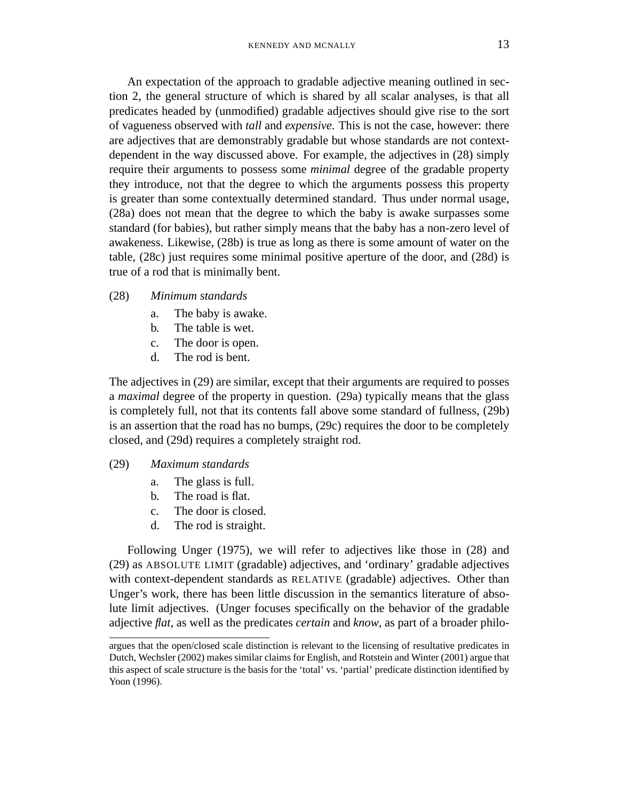An expectation of the approach to gradable adjective meaning outlined in section 2, the general structure of which is shared by all scalar analyses, is that all predicates headed by (unmodified) gradable adjectives should give rise to the sort of vagueness observed with *tall* and *expensive*. This is not the case, however: there are adjectives that are demonstrably gradable but whose standards are not contextdependent in the way discussed above. For example, the adjectives in (28) simply require their arguments to possess some *minimal* degree of the gradable property they introduce, not that the degree to which the arguments possess this property is greater than some contextually determined standard. Thus under normal usage, (28a) does not mean that the degree to which the baby is awake surpasses some standard (for babies), but rather simply means that the baby has a non-zero level of awakeness. Likewise, (28b) is true as long as there is some amount of water on the table, (28c) just requires some minimal positive aperture of the door, and (28d) is true of a rod that is minimally bent.

### (28) *Minimum standards*

- a. The baby is awake.
- b. The table is wet.
- c. The door is open.
- d. The rod is bent.

The adjectives in (29) are similar, except that their arguments are required to posses a *maximal* degree of the property in question. (29a) typically means that the glass is completely full, not that its contents fall above some standard of fullness, (29b) is an assertion that the road has no bumps, (29c) requires the door to be completely closed, and (29d) requires a completely straight rod.

#### (29) *Maximum standards*

- a. The glass is full.
- b. The road is flat.
- c. The door is closed.
- d. The rod is straight.

Following Unger (1975), we will refer to adjectives like those in (28) and (29) as ABSOLUTE LIMIT (gradable) adjectives, and 'ordinary' gradable adjectives with context-dependent standards as RELATIVE (gradable) adjectives. Other than Unger's work, there has been little discussion in the semantics literature of absolute limit adjectives. (Unger focuses specifically on the behavior of the gradable adjective *flat*, as well as the predicates *certain* and *know*, as part of a broader philo-

argues that the open/closed scale distinction is relevant to the licensing of resultative predicates in Dutch, Wechsler (2002) makes similar claims for English, and Rotstein and Winter (2001) argue that this aspect of scale structure is the basis for the 'total' vs. 'partial' predicate distinction identified by Yoon (1996).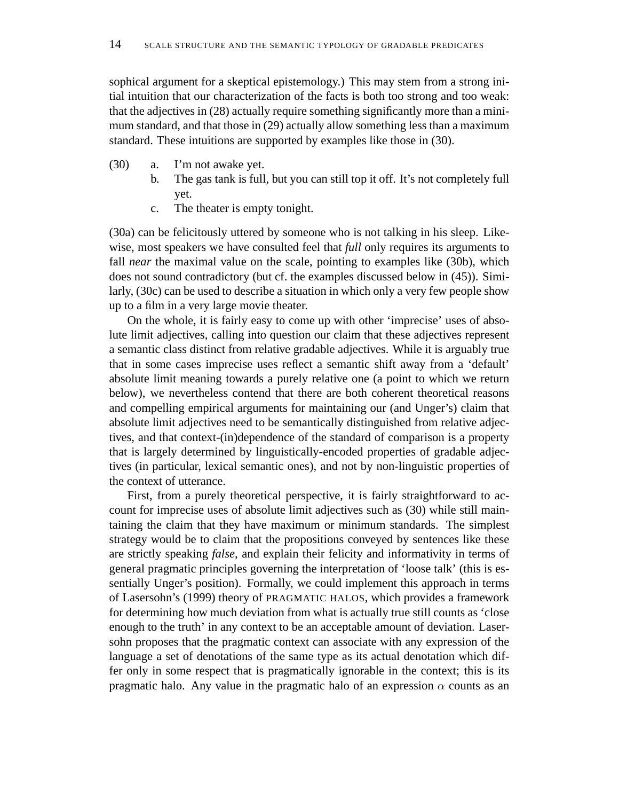sophical argument for a skeptical epistemology.) This may stem from a strong initial intuition that our characterization of the facts is both too strong and too weak: that the adjectives in (28) actually require something significantly more than a minimum standard, and that those in (29) actually allow something less than a maximum standard. These intuitions are supported by examples like those in (30).

- (30) a. I'm not awake yet.
	- b. The gas tank is full, but you can still top it off. It's not completely full yet.
		- c. The theater is empty tonight.

(30a) can be felicitously uttered by someone who is not talking in his sleep. Likewise, most speakers we have consulted feel that *full* only requires its arguments to fall *near* the maximal value on the scale, pointing to examples like (30b), which does not sound contradictory (but cf. the examples discussed below in (45)). Similarly, (30c) can be used to describe a situation in which only a very few people show up to a film in a very large movie theater.

On the whole, it is fairly easy to come up with other 'imprecise' uses of absolute limit adjectives, calling into question our claim that these adjectives represent a semantic class distinct from relative gradable adjectives. While it is arguably true that in some cases imprecise uses reflect a semantic shift away from a 'default' absolute limit meaning towards a purely relative one (a point to which we return below), we nevertheless contend that there are both coherent theoretical reasons and compelling empirical arguments for maintaining our (and Unger's) claim that absolute limit adjectives need to be semantically distinguished from relative adjectives, and that context-(in)dependence of the standard of comparison is a property that is largely determined by linguistically-encoded properties of gradable adjectives (in particular, lexical semantic ones), and not by non-linguistic properties of the context of utterance.

First, from a purely theoretical perspective, it is fairly straightforward to account for imprecise uses of absolute limit adjectives such as (30) while still maintaining the claim that they have maximum or minimum standards. The simplest strategy would be to claim that the propositions conveyed by sentences like these are strictly speaking *false*, and explain their felicity and informativity in terms of general pragmatic principles governing the interpretation of 'loose talk' (this is essentially Unger's position). Formally, we could implement this approach in terms of Lasersohn's (1999) theory of PRAGMATIC HALOS, which provides a framework for determining how much deviation from what is actually true still counts as 'close enough to the truth' in any context to be an acceptable amount of deviation. Lasersohn proposes that the pragmatic context can associate with any expression of the language a set of denotations of the same type as its actual denotation which differ only in some respect that is pragmatically ignorable in the context; this is its pragmatic halo. Any value in the pragmatic halo of an expression  $\alpha$  counts as an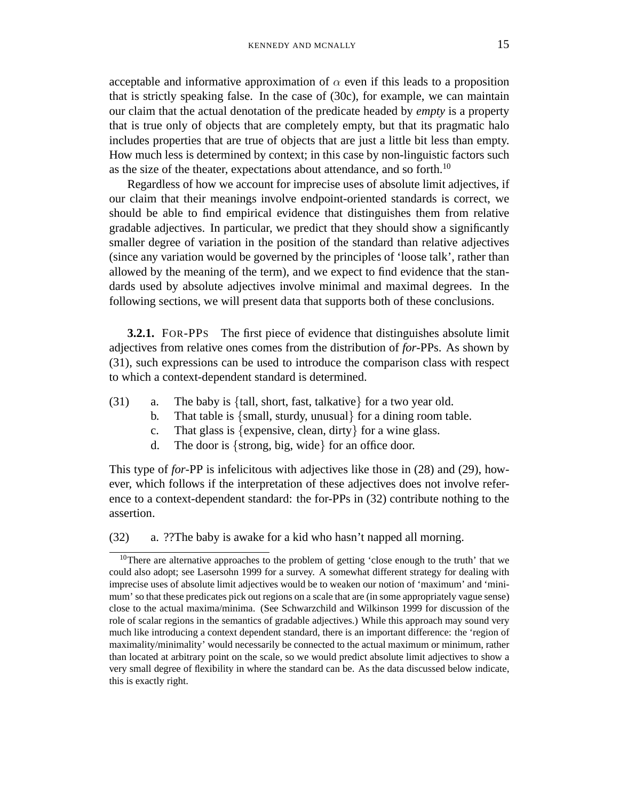acceptable and informative approximation of  $\alpha$  even if this leads to a proposition that is strictly speaking false. In the case of (30c), for example, we can maintain our claim that the actual denotation of the predicate headed by *empty* is a property that is true only of objects that are completely empty, but that its pragmatic halo includes properties that are true of objects that are just a little bit less than empty. How much less is determined by context; in this case by non-linguistic factors such as the size of the theater, expectations about attendance, and so forth.<sup>10</sup>

Regardless of how we account for imprecise uses of absolute limit adjectives, if our claim that their meanings involve endpoint-oriented standards is correct, we should be able to find empirical evidence that distinguishes them from relative gradable adjectives. In particular, we predict that they should show a significantly smaller degree of variation in the position of the standard than relative adjectives (since any variation would be governed by the principles of 'loose talk', rather than allowed by the meaning of the term), and we expect to find evidence that the standards used by absolute adjectives involve minimal and maximal degrees. In the following sections, we will present data that supports both of these conclusions.

**3.2.1.** FOR-PPS The first piece of evidence that distinguishes absolute limit adjectives from relative ones comes from the distribution of *for*-PPs. As shown by (31), such expressions can be used to introduce the comparison class with respect to which a context-dependent standard is determined.

- (31) a. The baby is {tall, short, fast, talkative} for a two year old.
	- b. That table is {small, sturdy, unusual} for a dining room table.
	- c. That glass is {expensive, clean, dirty} for a wine glass.
	- d. The door is {strong, big, wide} for an office door.

This type of *for*-PP is infelicitous with adjectives like those in (28) and (29), however, which follows if the interpretation of these adjectives does not involve reference to a context-dependent standard: the for-PPs in (32) contribute nothing to the assertion.

(32) a. ??The baby is awake for a kid who hasn't napped all morning.

<sup>&</sup>lt;sup>10</sup>There are alternative approaches to the problem of getting 'close enough to the truth' that we could also adopt; see Lasersohn 1999 for a survey. A somewhat different strategy for dealing with imprecise uses of absolute limit adjectives would be to weaken our notion of 'maximum' and 'minimum' so that these predicates pick out regions on a scale that are (in some appropriately vague sense) close to the actual maxima/minima. (See Schwarzchild and Wilkinson 1999 for discussion of the role of scalar regions in the semantics of gradable adjectives.) While this approach may sound very much like introducing a context dependent standard, there is an important difference: the 'region of maximality/minimality' would necessarily be connected to the actual maximum or minimum, rather than located at arbitrary point on the scale, so we would predict absolute limit adjectives to show a very small degree of flexibility in where the standard can be. As the data discussed below indicate, this is exactly right.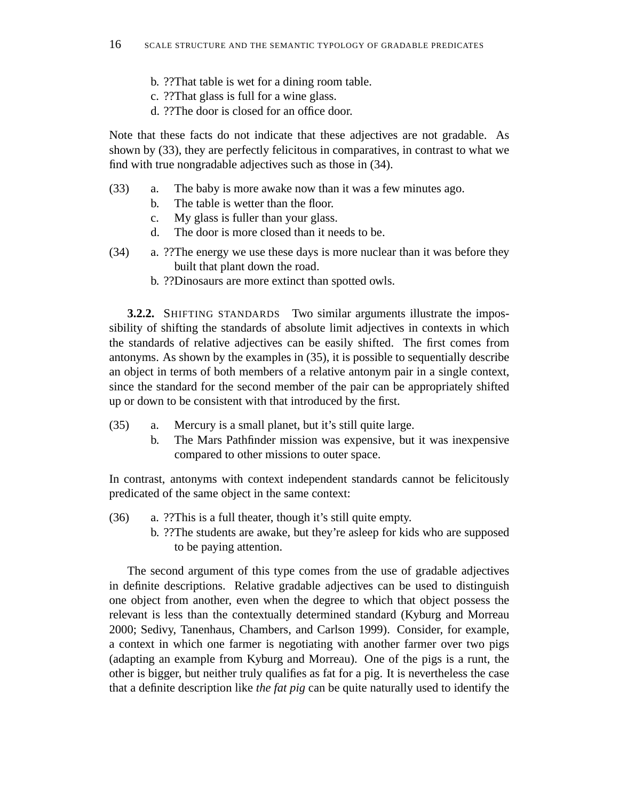- b. ??That table is wet for a dining room table.
- c. ??That glass is full for a wine glass.
- d. ??The door is closed for an office door.

Note that these facts do not indicate that these adjectives are not gradable. As shown by (33), they are perfectly felicitous in comparatives, in contrast to what we find with true nongradable adjectives such as those in (34).

- (33) a. The baby is more awake now than it was a few minutes ago.
	- b. The table is wetter than the floor.
	- c. My glass is fuller than your glass.
	- d. The door is more closed than it needs to be.
- (34) a. ??The energy we use these days is more nuclear than it was before they built that plant down the road.
	- b. ??Dinosaurs are more extinct than spotted owls.

**3.2.2.** SHIFTING STANDARDS Two similar arguments illustrate the impossibility of shifting the standards of absolute limit adjectives in contexts in which the standards of relative adjectives can be easily shifted. The first comes from antonyms. As shown by the examples in (35), it is possible to sequentially describe an object in terms of both members of a relative antonym pair in a single context, since the standard for the second member of the pair can be appropriately shifted up or down to be consistent with that introduced by the first.

- (35) a. Mercury is a small planet, but it's still quite large.
	- b. The Mars Pathfinder mission was expensive, but it was inexpensive compared to other missions to outer space.

In contrast, antonyms with context independent standards cannot be felicitously predicated of the same object in the same context:

- (36) a. ??This is a full theater, though it's still quite empty.
	- b. ??The students are awake, but they're asleep for kids who are supposed to be paying attention.

The second argument of this type comes from the use of gradable adjectives in definite descriptions. Relative gradable adjectives can be used to distinguish one object from another, even when the degree to which that object possess the relevant is less than the contextually determined standard (Kyburg and Morreau 2000; Sedivy, Tanenhaus, Chambers, and Carlson 1999). Consider, for example, a context in which one farmer is negotiating with another farmer over two pigs (adapting an example from Kyburg and Morreau). One of the pigs is a runt, the other is bigger, but neither truly qualifies as fat for a pig. It is nevertheless the case that a definite description like *the fat pig* can be quite naturally used to identify the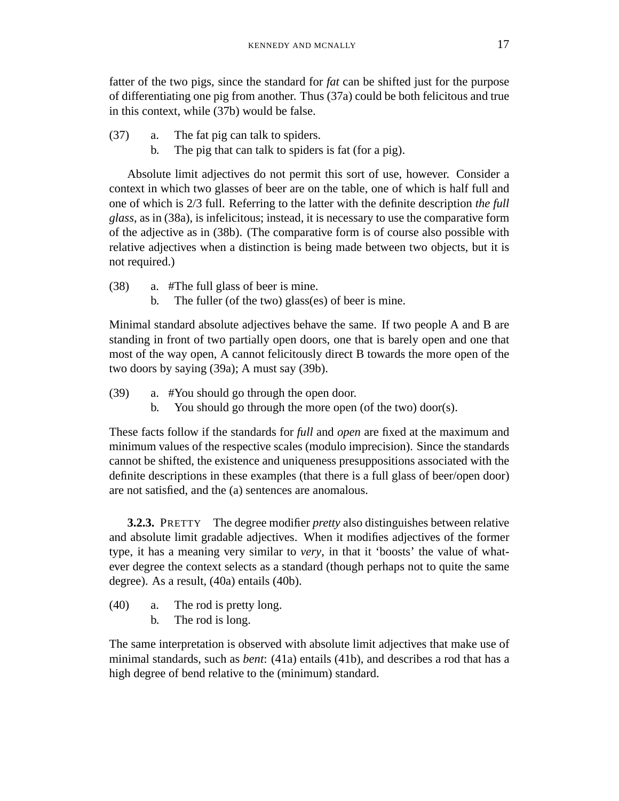fatter of the two pigs, since the standard for *fat* can be shifted just for the purpose of differentiating one pig from another. Thus (37a) could be both felicitous and true in this context, while (37b) would be false.

- (37) a. The fat pig can talk to spiders.
	- b. The pig that can talk to spiders is fat (for a pig).

Absolute limit adjectives do not permit this sort of use, however. Consider a context in which two glasses of beer are on the table, one of which is half full and one of which is 2/3 full. Referring to the latter with the definite description *the full glass*, as in (38a), is infelicitous; instead, it is necessary to use the comparative form of the adjective as in (38b). (The comparative form is of course also possible with relative adjectives when a distinction is being made between two objects, but it is not required.)

(38) a. #The full glass of beer is mine.

b. The fuller (of the two) glass(es) of beer is mine.

Minimal standard absolute adjectives behave the same. If two people A and B are standing in front of two partially open doors, one that is barely open and one that most of the way open, A cannot felicitously direct B towards the more open of the two doors by saying (39a); A must say (39b).

- (39) a. #You should go through the open door.
	- b. You should go through the more open (of the two) door(s).

These facts follow if the standards for *full* and *open* are fixed at the maximum and minimum values of the respective scales (modulo imprecision). Since the standards cannot be shifted, the existence and uniqueness presuppositions associated with the definite descriptions in these examples (that there is a full glass of beer/open door) are not satisfied, and the (a) sentences are anomalous.

**3.2.3.** PRETTY The degree modifier *pretty* also distinguishes between relative and absolute limit gradable adjectives. When it modifies adjectives of the former type, it has a meaning very similar to *very*, in that it 'boosts' the value of whatever degree the context selects as a standard (though perhaps not to quite the same degree). As a result, (40a) entails (40b).

- (40) a. The rod is pretty long.
	- b. The rod is long.

The same interpretation is observed with absolute limit adjectives that make use of minimal standards, such as *bent*: (41a) entails (41b), and describes a rod that has a high degree of bend relative to the (minimum) standard.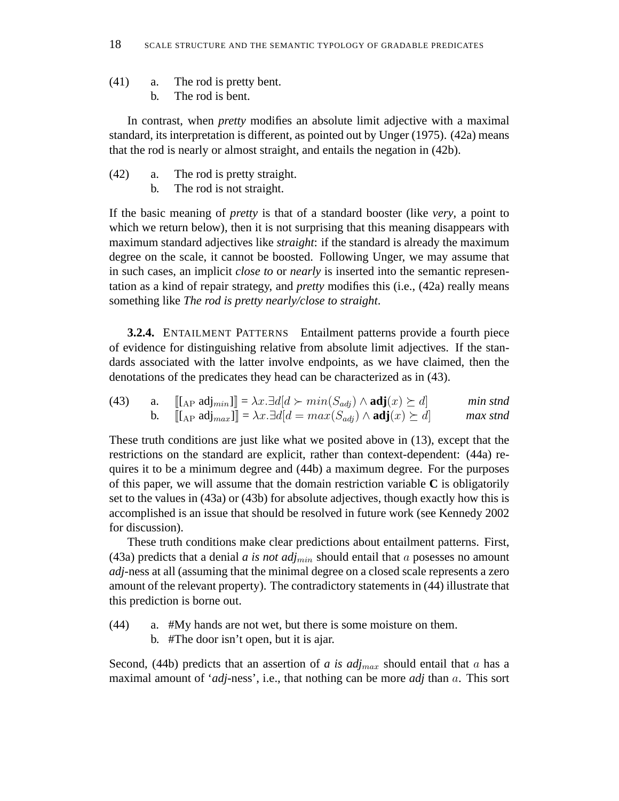- (41) a. The rod is pretty bent.
	- b. The rod is bent.

In contrast, when *pretty* modifies an absolute limit adjective with a maximal standard, its interpretation is different, as pointed out by Unger (1975). (42a) means that the rod is nearly or almost straight, and entails the negation in (42b).

- (42) a. The rod is pretty straight.
	- b. The rod is not straight.

If the basic meaning of *pretty* is that of a standard booster (like *very*, a point to which we return below), then it is not surprising that this meaning disappears with maximum standard adjectives like *straight*: if the standard is already the maximum degree on the scale, it cannot be boosted. Following Unger, we may assume that in such cases, an implicit *close to* or *nearly* is inserted into the semantic representation as a kind of repair strategy, and *pretty* modifies this (i.e., (42a) really means something like *The rod is pretty nearly/close to straight*.

**3.2.4.** ENTAILMENT PATTERNS Entailment patterns provide a fourth piece of evidence for distinguishing relative from absolute limit adjectives. If the standards associated with the latter involve endpoints, as we have claimed, then the denotations of the predicates they head can be characterized as in (43).

(43) a. 
$$
\llbracket [\text{Lap } \text{adj}_{min}] \rrbracket = \lambda x. \exists d[d \succ min(S_{adj}) \land \text{adj}(x) \succeq d] \qquad min \text{ shtad}
$$
  
b. 
$$
\llbracket [\text{Lap } \text{adj}_{max}] \rrbracket = \lambda x. \exists d[d = max(S_{adj}) \land \text{adj}(x) \succeq d] \qquad max \text{ shtad}
$$

These truth conditions are just like what we posited above in (13), except that the restrictions on the standard are explicit, rather than context-dependent: (44a) requires it to be a minimum degree and (44b) a maximum degree. For the purposes of this paper, we will assume that the domain restriction variable **C** is obligatorily set to the values in (43a) or (43b) for absolute adjectives, though exactly how this is accomplished is an issue that should be resolved in future work (see Kennedy 2002 for discussion).

These truth conditions make clear predictions about entailment patterns. First, (43a) predicts that a denial  $a$  is not  $adj_{min}$  should entail that  $a$  posesses no amount *adj*-ness at all (assuming that the minimal degree on a closed scale represents a zero amount of the relevant property). The contradictory statements in (44) illustrate that this prediction is borne out.

(44) a. #My hands are not wet, but there is some moisture on them.

b. #The door isn't open, but it is ajar.

Second, (44b) predicts that an assertion of  $a$  is  $adj_{max}$  should entail that  $a$  has a maximal amount of '*adj*-ness', i.e., that nothing can be more *adj* than a. This sort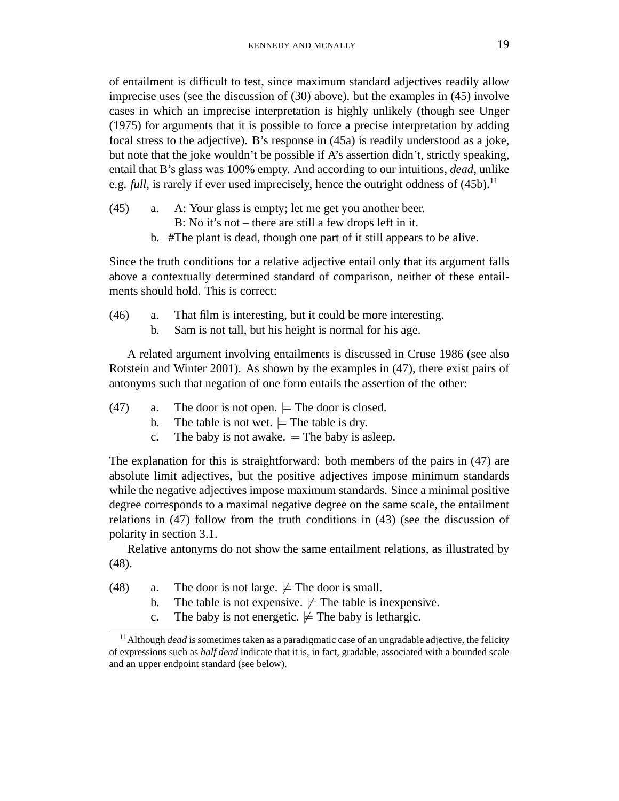of entailment is difficult to test, since maximum standard adjectives readily allow imprecise uses (see the discussion of (30) above), but the examples in (45) involve cases in which an imprecise interpretation is highly unlikely (though see Unger (1975) for arguments that it is possible to force a precise interpretation by adding focal stress to the adjective). B's response in (45a) is readily understood as a joke, but note that the joke wouldn't be possible if A's assertion didn't, strictly speaking, entail that B's glass was 100% empty. And according to our intuitions, *dead*, unlike e.g. *full*, is rarely if ever used imprecisely, hence the outright oddness of  $(45b)^{11}$ .

- (45) a. A: Your glass is empty; let me get you another beer.
	- B: No it's not there are still a few drops left in it.
	- b. #The plant is dead, though one part of it still appears to be alive.

Since the truth conditions for a relative adjective entail only that its argument falls above a contextually determined standard of comparison, neither of these entailments should hold. This is correct:

- (46) a. That film is interesting, but it could be more interesting.
	- b. Sam is not tall, but his height is normal for his age.

A related argument involving entailments is discussed in Cruse 1986 (see also Rotstein and Winter 2001). As shown by the examples in (47), there exist pairs of antonyms such that negation of one form entails the assertion of the other:

- (47) a. The door is not open.  $=$  The door is closed.
	- b. The table is not wet.  $\models$  The table is dry.
	- c. The baby is not awake.  $\models$  The baby is asleep.

The explanation for this is straightforward: both members of the pairs in (47) are absolute limit adjectives, but the positive adjectives impose minimum standards while the negative adjectives impose maximum standards. Since a minimal positive degree corresponds to a maximal negative degree on the same scale, the entailment relations in (47) follow from the truth conditions in (43) (see the discussion of polarity in section 3.1.

Relative antonyms do not show the same entailment relations, as illustrated by (48).

(48) a. The door is not large.  $\not\models$  The door is small.

- b. The table is not expensive.  $\not\models$  The table is inexpensive.
- c. The baby is not energetic.  $\not\models$  The baby is lethargic.

<sup>&</sup>lt;sup>11</sup> Although *dead* is sometimes taken as a paradigmatic case of an ungradable adjective, the felicity of expressions such as *half dead* indicate that it is, in fact, gradable, associated with a bounded scale and an upper endpoint standard (see below).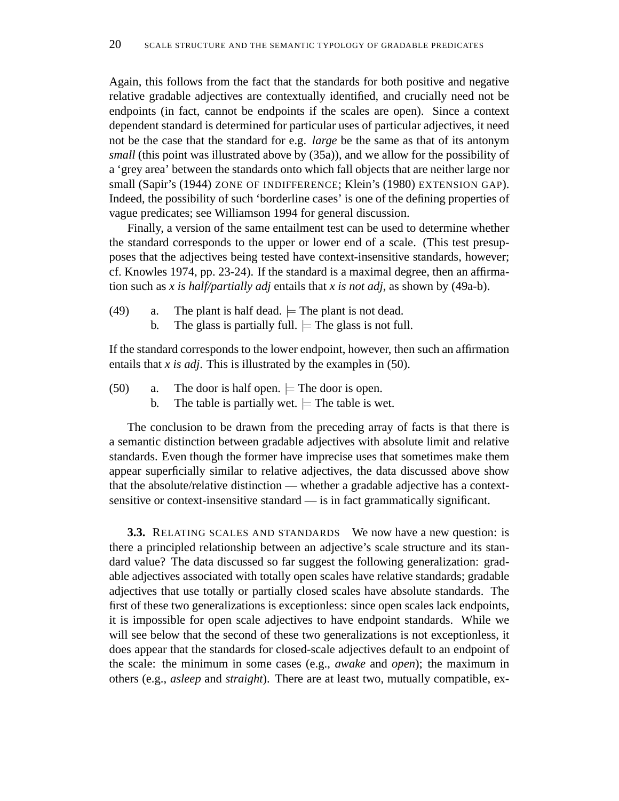Again, this follows from the fact that the standards for both positive and negative relative gradable adjectives are contextually identified, and crucially need not be endpoints (in fact, cannot be endpoints if the scales are open). Since a context dependent standard is determined for particular uses of particular adjectives, it need not be the case that the standard for e.g. *large* be the same as that of its antonym *small* (this point was illustrated above by (35a)), and we allow for the possibility of a 'grey area' between the standards onto which fall objects that are neither large nor small (Sapir's (1944) ZONE OF INDIFFERENCE; Klein's (1980) EXTENSION GAP). Indeed, the possibility of such 'borderline cases' is one of the defining properties of vague predicates; see Williamson 1994 for general discussion.

Finally, a version of the same entailment test can be used to determine whether the standard corresponds to the upper or lower end of a scale. (This test presupposes that the adjectives being tested have context-insensitive standards, however; cf. Knowles 1974, pp. 23-24). If the standard is a maximal degree, then an affirmation such as *x is half/partially adj* entails that *x is not adj*, as shown by (49a-b).

- (49) a. The plant is half dead.  $\models$  The plant is not dead.
	- b. The glass is partially full.  $\models$  The glass is not full.

If the standard corresponds to the lower endpoint, however, then such an affirmation entails that *x is adj*. This is illustrated by the examples in (50).

- (50) a. The door is half open.  $=$  The door is open.
	- b. The table is partially wet.  $\models$  The table is wet.

The conclusion to be drawn from the preceding array of facts is that there is a semantic distinction between gradable adjectives with absolute limit and relative standards. Even though the former have imprecise uses that sometimes make them appear superficially similar to relative adjectives, the data discussed above show that the absolute/relative distinction — whether a gradable adjective has a contextsensitive or context-insensitive standard — is in fact grammatically significant.

**3.3.** RELATING SCALES AND STANDARDS We now have a new question: is there a principled relationship between an adjective's scale structure and its standard value? The data discussed so far suggest the following generalization: gradable adjectives associated with totally open scales have relative standards; gradable adjectives that use totally or partially closed scales have absolute standards. The first of these two generalizations is exceptionless: since open scales lack endpoints, it is impossible for open scale adjectives to have endpoint standards. While we will see below that the second of these two generalizations is not exceptionless, it does appear that the standards for closed-scale adjectives default to an endpoint of the scale: the minimum in some cases (e.g., *awake* and *open*); the maximum in others (e.g., *asleep* and *straight*). There are at least two, mutually compatible, ex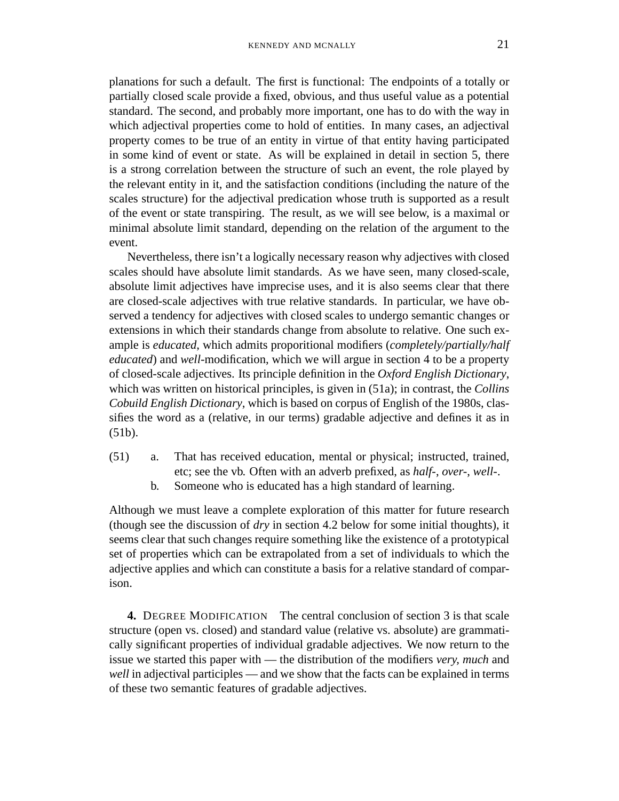planations for such a default. The first is functional: The endpoints of a totally or partially closed scale provide a fixed, obvious, and thus useful value as a potential standard. The second, and probably more important, one has to do with the way in which adjectival properties come to hold of entities. In many cases, an adjectival property comes to be true of an entity in virtue of that entity having participated in some kind of event or state. As will be explained in detail in section 5, there is a strong correlation between the structure of such an event, the role played by the relevant entity in it, and the satisfaction conditions (including the nature of the scales structure) for the adjectival predication whose truth is supported as a result of the event or state transpiring. The result, as we will see below, is a maximal or minimal absolute limit standard, depending on the relation of the argument to the event.

Nevertheless, there isn't a logically necessary reason why adjectives with closed scales should have absolute limit standards. As we have seen, many closed-scale, absolute limit adjectives have imprecise uses, and it is also seems clear that there are closed-scale adjectives with true relative standards. In particular, we have observed a tendency for adjectives with closed scales to undergo semantic changes or extensions in which their standards change from absolute to relative. One such example is *educated*, which admits proporitional modifiers (*completely/partially/half educated*) and *well*-modification, which we will argue in section 4 to be a property of closed-scale adjectives. Its principle definition in the *Oxford English Dictionary*, which was written on historical principles, is given in (51a); in contrast, the *Collins Cobuild English Dictionary*, which is based on corpus of English of the 1980s, classifies the word as a (relative, in our terms) gradable adjective and defines it as in (51b).

- (51) a. That has received education, mental or physical; instructed, trained, etc; see the vb. Often with an adverb prefixed, as *half-*, *over-*, *well-*.
	- b. Someone who is educated has a high standard of learning.

Although we must leave a complete exploration of this matter for future research (though see the discussion of *dry* in section 4.2 below for some initial thoughts), it seems clear that such changes require something like the existence of a prototypical set of properties which can be extrapolated from a set of individuals to which the adjective applies and which can constitute a basis for a relative standard of comparison.

**4.** DEGREE MODIFICATION The central conclusion of section 3 is that scale structure (open vs. closed) and standard value (relative vs. absolute) are grammatically significant properties of individual gradable adjectives. We now return to the issue we started this paper with — the distribution of the modifiers *very, much* and *well* in adjectival participles — and we show that the facts can be explained in terms of these two semantic features of gradable adjectives.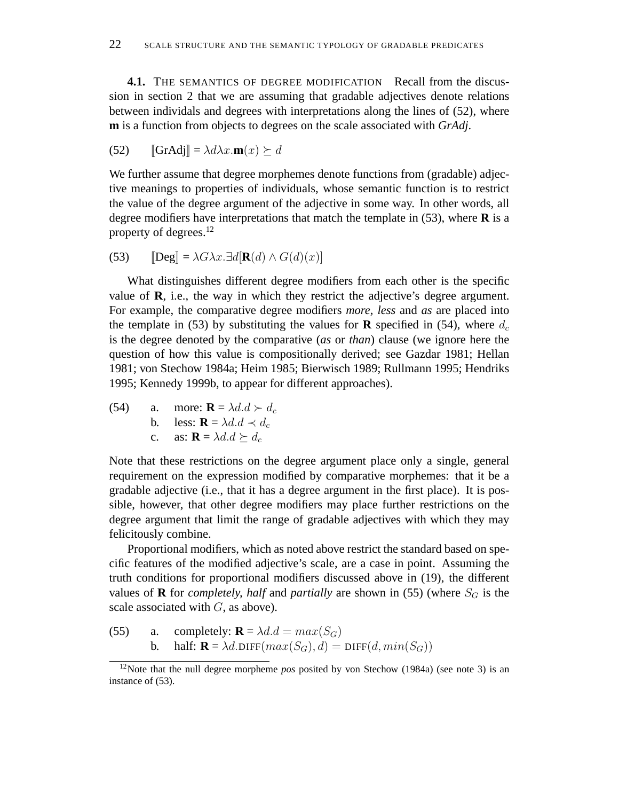**4.1.** THE SEMANTICS OF DEGREE MODIFICATION Recall from the discussion in section 2 that we are assuming that gradable adjectives denote relations between individals and degrees with interpretations along the lines of (52), where **m** is a function from objects to degrees on the scale associated with *GrAdj*.

(52) 
$$
\llbracket \mathbf{GrAdj} \rrbracket = \lambda d\lambda x. \mathbf{m}(x) \succeq d
$$

We further assume that degree morphemes denote functions from (gradable) adjective meanings to properties of individuals, whose semantic function is to restrict the value of the degree argument of the adjective in some way. In other words, all degree modifiers have interpretations that match the template in (53), where **R** is a property of degrees.<sup>12</sup>

(53) 
$$
\mathbb{E}[\text{Deg}] = \lambda G \lambda x. \exists d[\mathbf{R}(d) \wedge G(d)(x)]
$$

What distinguishes different degree modifiers from each other is the specific value of **R**, i.e., the way in which they restrict the adjective's degree argument. For example, the comparative degree modifiers *more, less* and *as* are placed into the template in (53) by substituting the values for **R** specified in (54), where  $d_c$ is the degree denoted by the comparative (*as* or *than*) clause (we ignore here the question of how this value is compositionally derived; see Gazdar 1981; Hellan 1981; von Stechow 1984a; Heim 1985; Bierwisch 1989; Rullmann 1995; Hendriks 1995; Kennedy 1999b, to appear for different approaches).

(54) a. more: 
$$
\mathbf{R} = \lambda d \cdot d \succ d_c
$$
  
b. less:  $\mathbf{R} = \lambda d \cdot d \prec d_c$   
c. as:  $\mathbf{R} = \lambda d \cdot d \succeq d_c$ 

Note that these restrictions on the degree argument place only a single, general requirement on the expression modified by comparative morphemes: that it be a gradable adjective (i.e., that it has a degree argument in the first place). It is possible, however, that other degree modifiers may place further restrictions on the degree argument that limit the range of gradable adjectives with which they may felicitously combine.

Proportional modifiers, which as noted above restrict the standard based on specific features of the modified adjective's scale, are a case in point. Assuming the truth conditions for proportional modifiers discussed above in (19), the different values of **R** for *completely, half* and *partially* are shown in (55) (where  $S_G$  is the scale associated with  $G$ , as above).

(55) a. completely: 
$$
\mathbf{R} = \lambda d \cdot d = max(S_G)
$$
  
b. half:  $\mathbf{R} = \lambda d \cdot \text{DIFF}(max(S_G), d) = \text{DIFF}(d, min(S_G))$ 

<sup>&</sup>lt;sup>12</sup>Note that the null degree morpheme *pos* posited by von Stechow (1984a) (see note 3) is an instance of  $(53)$ .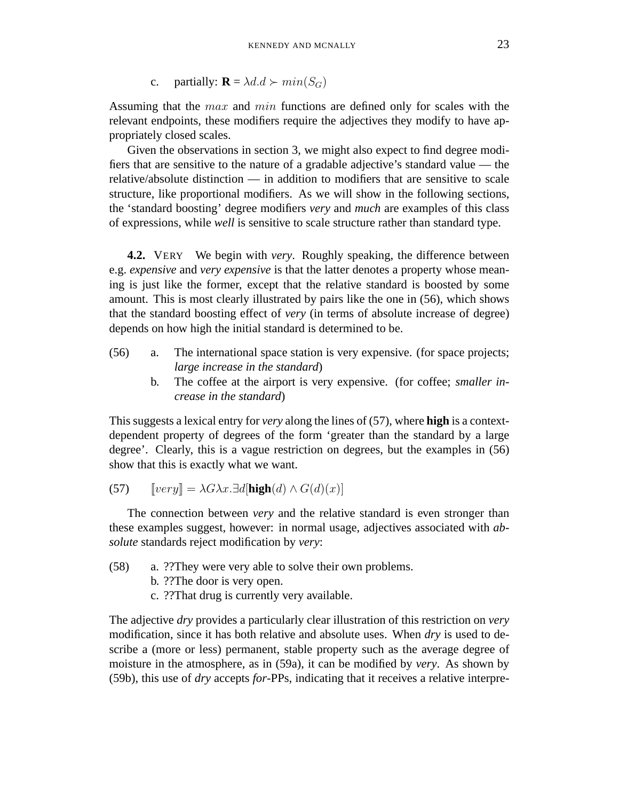c. partially:  $\mathbf{R} = \lambda d \cdot d \succ min(S_G)$ 

Assuming that the *max* and *min* functions are defined only for scales with the relevant endpoints, these modifiers require the adjectives they modify to have appropriately closed scales.

Given the observations in section 3, we might also expect to find degree modifiers that are sensitive to the nature of a gradable adjective's standard value — the relative/absolute distinction — in addition to modifiers that are sensitive to scale structure, like proportional modifiers. As we will show in the following sections, the 'standard boosting' degree modifiers *very* and *much* are examples of this class of expressions, while *well* is sensitive to scale structure rather than standard type.

**4.2.** VERY We begin with *very*. Roughly speaking, the difference between e.g. *expensive* and *very expensive* is that the latter denotes a property whose meaning is just like the former, except that the relative standard is boosted by some amount. This is most clearly illustrated by pairs like the one in (56), which shows that the standard boosting effect of *very* (in terms of absolute increase of degree) depends on how high the initial standard is determined to be.

- (56) a. The international space station is very expensive. (for space projects; *large increase in the standard*)
	- b. The coffee at the airport is very expensive. (for coffee; *smaller increase in the standard*)

This suggests a lexical entry for *very* along the lines of (57), where **high** is a contextdependent property of degrees of the form 'greater than the standard by a large degree'. Clearly, this is a vague restriction on degrees, but the examples in (56) show that this is exactly what we want.

$$
(57) \qquad [very] = \lambda G \lambda x. \exists d[\mathbf{high}(d) \land G(d)(x)]
$$

The connection between *very* and the relative standard is even stronger than these examples suggest, however: in normal usage, adjectives associated with *absolute* standards reject modification by *very*:

- (58) a. ??They were very able to solve their own problems.
	- b. ??The door is very open.
	- c. ??That drug is currently very available.

The adjective *dry* provides a particularly clear illustration of this restriction on *very* modification, since it has both relative and absolute uses. When *dry* is used to describe a (more or less) permanent, stable property such as the average degree of moisture in the atmosphere, as in (59a), it can be modified by *very*. As shown by (59b), this use of *dry* accepts *for*-PPs, indicating that it receives a relative interpre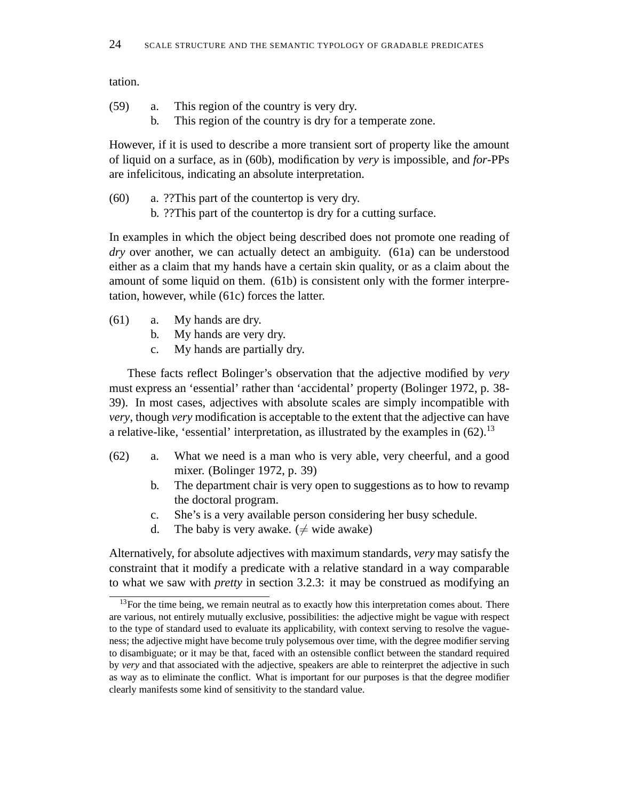tation.

| (59) |  |  | This region of the country is very dry. |  |  |
|------|--|--|-----------------------------------------|--|--|
|      |  |  |                                         |  |  |

b. This region of the country is dry for a temperate zone.

However, if it is used to describe a more transient sort of property like the amount of liquid on a surface, as in (60b), modification by *very* is impossible, and *for*-PPs are infelicitous, indicating an absolute interpretation.

(60) a. ??This part of the countertop is very dry. b. ??This part of the countertop is dry for a cutting surface.

In examples in which the object being described does not promote one reading of *dry* over another, we can actually detect an ambiguity. (61a) can be understood either as a claim that my hands have a certain skin quality, or as a claim about the amount of some liquid on them. (61b) is consistent only with the former interpretation, however, while (61c) forces the latter.

- (61) a. My hands are dry.
	- b. My hands are very dry.
	- c. My hands are partially dry.

These facts reflect Bolinger's observation that the adjective modified by *very* must express an 'essential' rather than 'accidental' property (Bolinger 1972, p. 38- 39). In most cases, adjectives with absolute scales are simply incompatible with *very*, though *very* modification is acceptable to the extent that the adjective can have a relative-like, 'essential' interpretation, as illustrated by the examples in  $(62)$ .<sup>13</sup>

- (62) a. What we need is a man who is very able, very cheerful, and a good mixer. (Bolinger 1972, p. 39)
	- b. The department chair is very open to suggestions as to how to revamp the doctoral program.
	- c. She's is a very available person considering her busy schedule.
	- d. The baby is very awake. ( $\neq$  wide awake)

Alternatively, for absolute adjectives with maximum standards, *very* may satisfy the constraint that it modify a predicate with a relative standard in a way comparable to what we saw with *pretty* in section 3.2.3: it may be construed as modifying an

 $13$  For the time being, we remain neutral as to exactly how this interpretation comes about. There are various, not entirely mutually exclusive, possibilities: the adjective might be vague with respect to the type of standard used to evaluate its applicability, with context serving to resolve the vagueness; the adjective might have become truly polysemous over time, with the degree modifier serving to disambiguate; or it may be that, faced with an ostensible conflict between the standard required by *very* and that associated with the adjective, speakers are able to reinterpret the adjective in such as way as to eliminate the conflict. What is important for our purposes is that the degree modifier clearly manifests some kind of sensitivity to the standard value.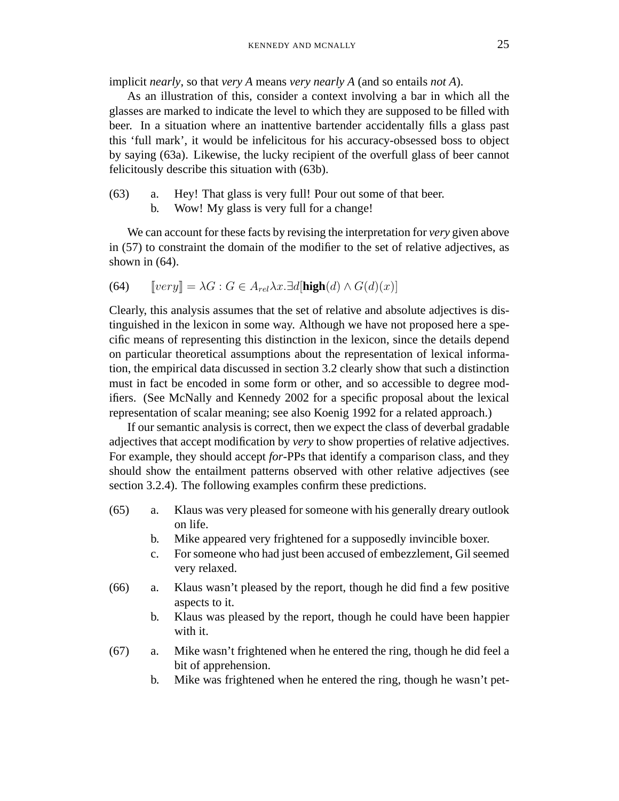implicit *nearly*, so that *very A* means *very nearly A* (and so entails *not A*).

As an illustration of this, consider a context involving a bar in which all the glasses are marked to indicate the level to which they are supposed to be filled with beer. In a situation where an inattentive bartender accidentally fills a glass past this 'full mark', it would be infelicitous for his accuracy-obsessed boss to object by saying (63a). Likewise, the lucky recipient of the overfull glass of beer cannot felicitously describe this situation with (63b).

- (63) a. Hey! That glass is very full! Pour out some of that beer.
	- b. Wow! My glass is very full for a change!

We can account for these facts by revising the interpretation for *very* given above in (57) to constraint the domain of the modifier to the set of relative adjectives, as shown in  $(64)$ .

(64) 
$$
[very] = \lambda G : G \in A_{rel} \lambda x. \exists d[\mathbf{high}(d) \wedge G(d)(x)]
$$

Clearly, this analysis assumes that the set of relative and absolute adjectives is distinguished in the lexicon in some way. Although we have not proposed here a specific means of representing this distinction in the lexicon, since the details depend on particular theoretical assumptions about the representation of lexical information, the empirical data discussed in section 3.2 clearly show that such a distinction must in fact be encoded in some form or other, and so accessible to degree modifiers. (See McNally and Kennedy 2002 for a specific proposal about the lexical representation of scalar meaning; see also Koenig 1992 for a related approach.)

If our semantic analysis is correct, then we expect the class of deverbal gradable adjectives that accept modification by *very* to show properties of relative adjectives. For example, they should accept *for*-PPs that identify a comparison class, and they should show the entailment patterns observed with other relative adjectives (see section 3.2.4). The following examples confirm these predictions.

- (65) a. Klaus was very pleased for someone with his generally dreary outlook on life.
	- b. Mike appeared very frightened for a supposedly invincible boxer.
	- c. For someone who had just been accused of embezzlement, Gil seemed very relaxed.
- (66) a. Klaus wasn't pleased by the report, though he did find a few positive aspects to it.
	- b. Klaus was pleased by the report, though he could have been happier with it.
- (67) a. Mike wasn't frightened when he entered the ring, though he did feel a bit of apprehension.
	- b. Mike was frightened when he entered the ring, though he wasn't pet-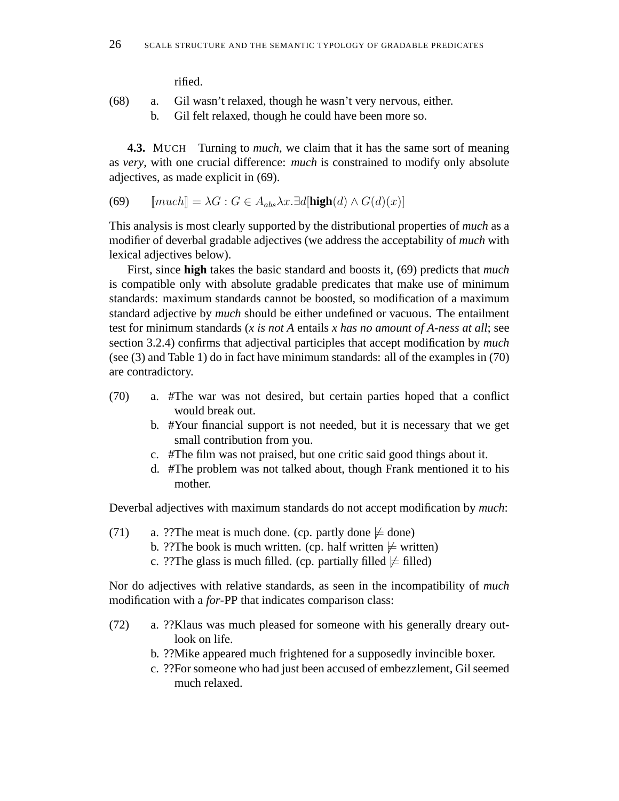rified.

- (68) a. Gil wasn't relaxed, though he wasn't very nervous, either.
	- b. Gil felt relaxed, though he could have been more so.

**4.3.** MUCH Turning to *much*, we claim that it has the same sort of meaning as *very*, with one crucial difference: *much* is constrained to modify only absolute adjectives, as made explicit in (69).

(69) 
$$
[much] = \lambda G : G \in A_{abs} \lambda x. \exists d[\mathbf{high}(d) \land G(d)(x)]
$$

This analysis is most clearly supported by the distributional properties of *much* as a modifier of deverbal gradable adjectives (we address the acceptability of *much* with lexical adjectives below).

First, since **high** takes the basic standard and boosts it, (69) predicts that *much* is compatible only with absolute gradable predicates that make use of minimum standards: maximum standards cannot be boosted, so modification of a maximum standard adjective by *much* should be either undefined or vacuous. The entailment test for minimum standards (*x is not A* entails *x has no amount of A-ness at all*; see section 3.2.4) confirms that adjectival participles that accept modification by *much* (see (3) and Table 1) do in fact have minimum standards: all of the examples in (70) are contradictory.

- (70) a. #The war was not desired, but certain parties hoped that a conflict would break out.
	- b. #Your financial support is not needed, but it is necessary that we get small contribution from you.
	- c. #The film was not praised, but one critic said good things about it.
	- d. #The problem was not talked about, though Frank mentioned it to his mother.

Deverbal adjectives with maximum standards do not accept modification by *much*:

- (71) a. ??The meat is much done. (cp. partly done  $\models$  done)
	- b. ??The book is much written. (cp. half written  $\models$  written)
	- c. ??The glass is much filled. (cp. partially filled  $\not\models$  filled)

Nor do adjectives with relative standards, as seen in the incompatibility of *much* modification with a *for*-PP that indicates comparison class:

- (72) a. ??Klaus was much pleased for someone with his generally dreary outlook on life.
	- b. ??Mike appeared much frightened for a supposedly invincible boxer.
	- c. ??For someone who had just been accused of embezzlement, Gil seemed much relaxed.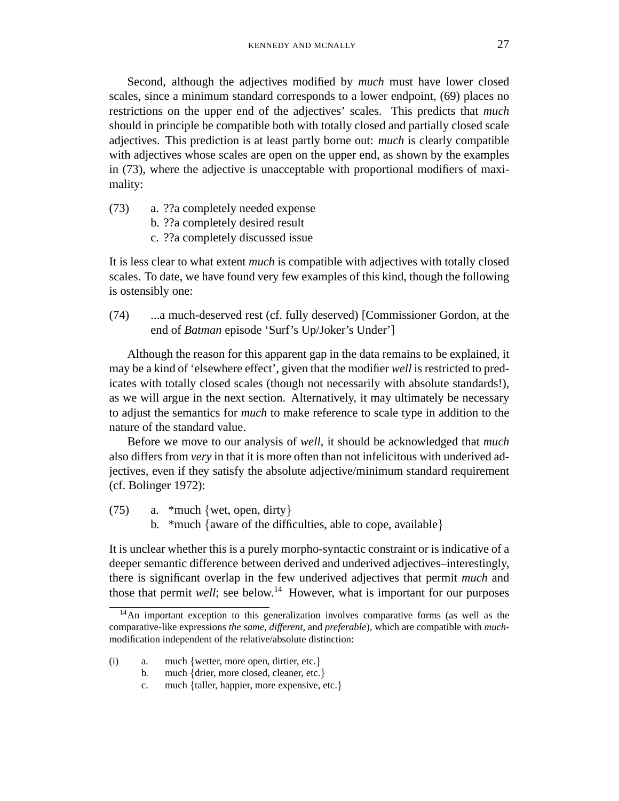Second, although the adjectives modified by *much* must have lower closed scales, since a minimum standard corresponds to a lower endpoint, (69) places no restrictions on the upper end of the adjectives' scales. This predicts that *much* should in principle be compatible both with totally closed and partially closed scale adjectives. This prediction is at least partly borne out: *much* is clearly compatible with adjectives whose scales are open on the upper end, as shown by the examples in (73), where the adjective is unacceptable with proportional modifiers of maximality:

- (73) a. ??a completely needed expense
	- b. ??a completely desired result
	- c. ??a completely discussed issue

It is less clear to what extent *much* is compatible with adjectives with totally closed scales. To date, we have found very few examples of this kind, though the following is ostensibly one:

(74) ...a much-deserved rest (cf. fully deserved) [Commissioner Gordon, at the end of *Batman* episode 'Surf's Up/Joker's Under']

Although the reason for this apparent gap in the data remains to be explained, it may be a kind of 'elsewhere effect', given that the modifier *well* is restricted to predicates with totally closed scales (though not necessarily with absolute standards!), as we will argue in the next section. Alternatively, it may ultimately be necessary to adjust the semantics for *much* to make reference to scale type in addition to the nature of the standard value.

Before we move to our analysis of *well*, it should be acknowledged that *much* also differs from *very* in that it is more often than not infelicitous with underived adjectives, even if they satisfy the absolute adjective/minimum standard requirement (cf. Bolinger 1972):

- (75) a. \*much {wet, open, dirty}
	- b. \*much {aware of the difficulties, able to cope, available}

It is unclear whether this is a purely morpho-syntactic constraint or is indicative of a deeper semantic difference between derived and underived adjectives–interestingly, there is significant overlap in the few underived adjectives that permit *much* and those that permit *well*; see below.<sup>14</sup> However, what is important for our purposes

- (i) a. much {wetter, more open, dirtier, etc.}
	- b. much {drier, more closed, cleaner, etc.}
	- c. much {taller, happier, more expensive, etc.}

<sup>&</sup>lt;sup>14</sup>An important exception to this generalization involves comparative forms (as well as the comparative-like expressions *the same*, *different*, and *preferable*), which are compatible with *much*modification independent of the relative/absolute distinction: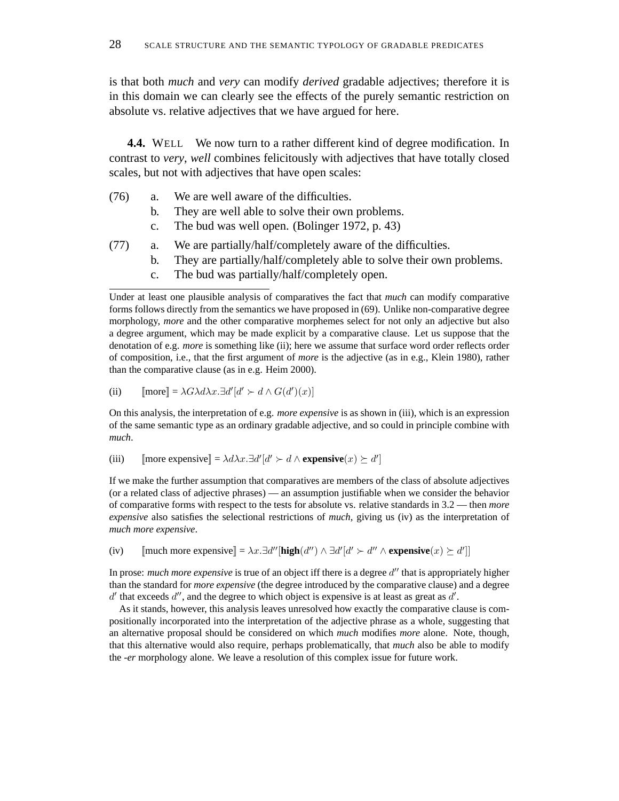is that both *much* and *very* can modify *derived* gradable adjectives; therefore it is in this domain we can clearly see the effects of the purely semantic restriction on absolute vs. relative adjectives that we have argued for here.

**4.4.** WELL We now turn to a rather different kind of degree modification. In contrast to *very*, *well* combines felicitously with adjectives that have totally closed scales, but not with adjectives that have open scales:

- (76) a. We are well aware of the difficulties.
	- b. They are well able to solve their own problems.
	- c. The bud was well open. (Bolinger 1972, p. 43)
- (77) a. We are partially/half/completely aware of the difficulties.
	- b. They are partially/half/completely able to solve their own problems.
	- c. The bud was partially/half/completely open.

(ii)  $[\text{more}] = \lambda G \lambda d \lambda x \cdot \exists d' [d' \succ d \wedge G(d')(x)]$ 

On this analysis, the interpretation of e.g. *more expensive* is as shown in (iii), which is an expression of the same semantic type as an ordinary gradable adjective, and so could in principle combine with *much*.

(iii)  $[\text{more expensive}] = \lambda d\lambda x \cdot \exists d'[d' \succ d \land \text{expensive}(x) \succeq d']$ 

If we make the further assumption that comparatives are members of the class of absolute adjectives (or a related class of adjective phrases) — an assumption justifiable when we consider the behavior of comparative forms with respect to the tests for absolute vs. relative standards in 3.2 — then *more expensive* also satisfies the selectional restrictions of *much*, giving us (iv) as the interpretation of *much more expensive*.

(iv)  $[\text{much more expensive}] = \lambda x \cdot \exists d''[\text{high}(d'') \land \exists d'[d' \succ d'' \land \text{expensive}(x) \succeq d']]$ 

In prose: *much more expensive* is true of an object iff there is a degree d'' that is appropriately higher than the standard for *more expensive* (the degree introduced by the comparative clause) and a degree  $d'$  that exceeds  $d''$ , and the degree to which object is expensive is at least as great as  $d'$ .

As it stands, however, this analysis leaves unresolved how exactly the comparative clause is compositionally incorporated into the interpretation of the adjective phrase as a whole, suggesting that an alternative proposal should be considered on which *much* modifies *more* alone. Note, though, that this alternative would also require, perhaps problematically, that *much* also be able to modify the *-er* morphology alone. We leave a resolution of this complex issue for future work.

Under at least one plausible analysis of comparatives the fact that *much* can modify comparative forms follows directly from the semantics we have proposed in (69). Unlike non-comparative degree morphology, *more* and the other comparative morphemes select for not only an adjective but also a degree argument, which may be made explicit by a comparative clause. Let us suppose that the denotation of e.g. *more* is something like (ii); here we assume that surface word order reflects order of composition, i.e., that the first argument of *more* is the adjective (as in e.g., Klein 1980), rather than the comparative clause (as in e.g. Heim 2000).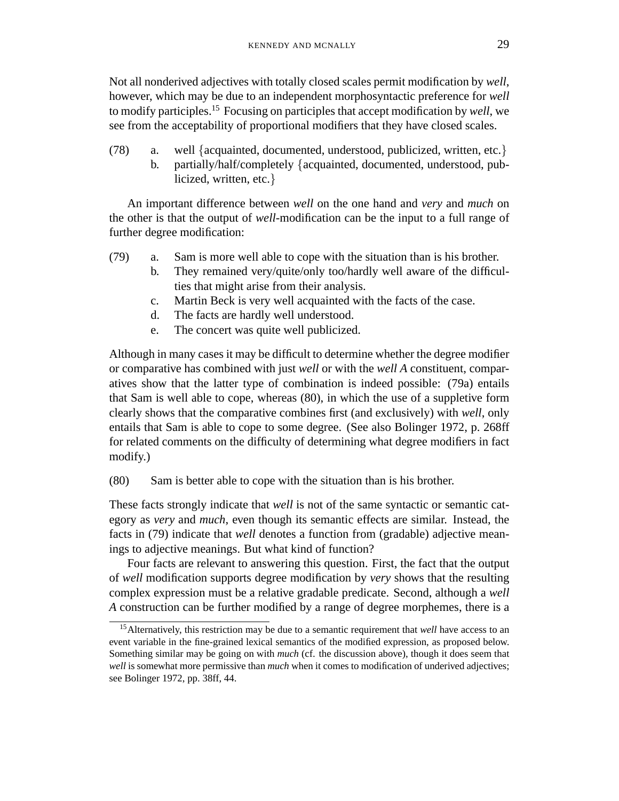Not all nonderived adjectives with totally closed scales permit modification by *well*, however, which may be due to an independent morphosyntactic preference for *well* to modify participles.<sup>15</sup> Focusing on participles that accept modification by *well*, we see from the acceptability of proportional modifiers that they have closed scales.

(78) a. well {acquainted, documented, understood, publicized, written, etc.} b. partially/half/completely {acquainted, documented, understood, publicized, written, etc.}

An important difference between *well* on the one hand and *very* and *much* on the other is that the output of *well*-modification can be the input to a full range of further degree modification:

- (79) a. Sam is more well able to cope with the situation than is his brother.
	- b. They remained very/quite/only too/hardly well aware of the difficulties that might arise from their analysis.
	- c. Martin Beck is very well acquainted with the facts of the case.
	- d. The facts are hardly well understood.
	- e. The concert was quite well publicized.

Although in many cases it may be difficult to determine whether the degree modifier or comparative has combined with just *well* or with the *well A* constituent, comparatives show that the latter type of combination is indeed possible: (79a) entails that Sam is well able to cope, whereas (80), in which the use of a suppletive form clearly shows that the comparative combines first (and exclusively) with *well*, only entails that Sam is able to cope to some degree. (See also Bolinger 1972, p. 268ff for related comments on the difficulty of determining what degree modifiers in fact modify.)

(80) Sam is better able to cope with the situation than is his brother.

These facts strongly indicate that *well* is not of the same syntactic or semantic category as *very* and *much*, even though its semantic effects are similar. Instead, the facts in (79) indicate that *well* denotes a function from (gradable) adjective meanings to adjective meanings. But what kind of function?

Four facts are relevant to answering this question. First, the fact that the output of *well* modification supports degree modification by *very* shows that the resulting complex expression must be a relative gradable predicate. Second, although a *well A* construction can be further modified by a range of degree morphemes, there is a

<sup>15</sup>Alternatively, this restriction may be due to a semantic requirement that *well* have access to an event variable in the fine-grained lexical semantics of the modified expression, as proposed below. Something similar may be going on with *much* (cf. the discussion above), though it does seem that *well* is somewhat more permissive than *much* when it comes to modification of underived adjectives; see Bolinger 1972, pp. 38ff, 44.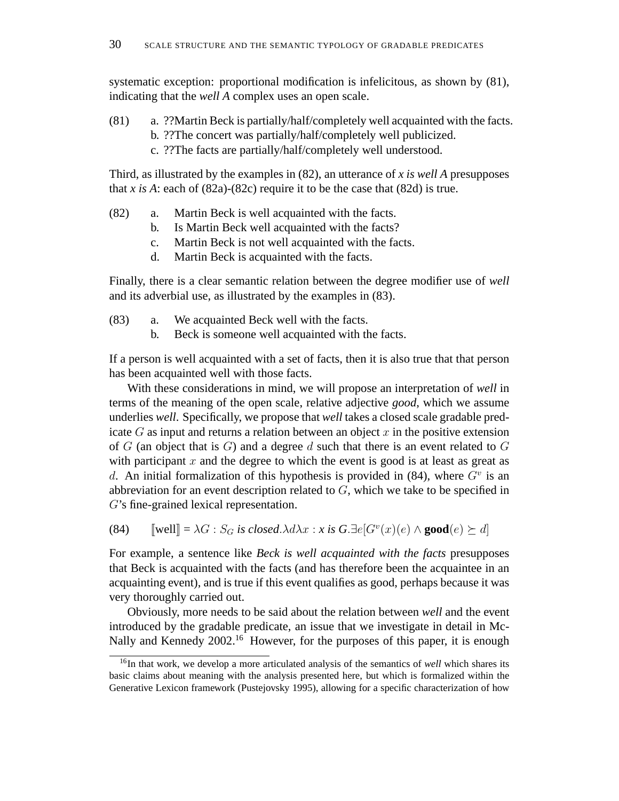systematic exception: proportional modification is infelicitous, as shown by (81), indicating that the *well A* complex uses an open scale.

- (81) a. ??Martin Beck is partially/half/completely well acquainted with the facts.
	- b. ??The concert was partially/half/completely well publicized.
	- c. ??The facts are partially/half/completely well understood.

Third, as illustrated by the examples in (82), an utterance of *x is well A* presupposes that *x* is A: each of  $(82a)-(82c)$  require it to be the case that  $(82d)$  is true.

- (82) a. Martin Beck is well acquainted with the facts.
	- b. Is Martin Beck well acquainted with the facts?
	- c. Martin Beck is not well acquainted with the facts.
	- d. Martin Beck is acquainted with the facts.

Finally, there is a clear semantic relation between the degree modifier use of *well* and its adverbial use, as illustrated by the examples in (83).

- (83) a. We acquainted Beck well with the facts.
	- b. Beck is someone well acquainted with the facts.

If a person is well acquainted with a set of facts, then it is also true that that person has been acquainted well with those facts.

With these considerations in mind, we will propose an interpretation of *well* in terms of the meaning of the open scale, relative adjective *good*, which we assume underlies *well*. Specifically, we propose that *well* takes a closed scale gradable predicate  $G$  as input and returns a relation between an object  $x$  in the positive extension of  $G$  (an object that is  $G$ ) and a degree  $d$  such that there is an event related to  $G$ with participant  $x$  and the degree to which the event is good is at least as great as d. An initial formalization of this hypothesis is provided in  $(84)$ , where  $G<sup>v</sup>$  is an abbreviation for an event description related to  $G$ , which we take to be specified in G's fine-grained lexical representation.

(84)  $[\text{well}] = \lambda G : S_G$  *is closed.* $\lambda d\lambda x : x$  *is*  $G.\exists e[G^v(x)(e) \wedge \textbf{good}(e) \succeq d]$ 

For example, a sentence like *Beck is well acquainted with the facts* presupposes that Beck is acquainted with the facts (and has therefore been the acquaintee in an acquainting event), and is true if this event qualifies as good, perhaps because it was very thoroughly carried out.

Obviously, more needs to be said about the relation between *well* and the event introduced by the gradable predicate, an issue that we investigate in detail in Mc-Nally and Kennedy 2002.<sup>16</sup> However, for the purposes of this paper, it is enough

<sup>&</sup>lt;sup>16</sup>In that work, we develop a more articulated analysis of the semantics of *well* which shares its basic claims about meaning with the analysis presented here, but which is formalized within the Generative Lexicon framework (Pustejovsky 1995), allowing for a specific characterization of how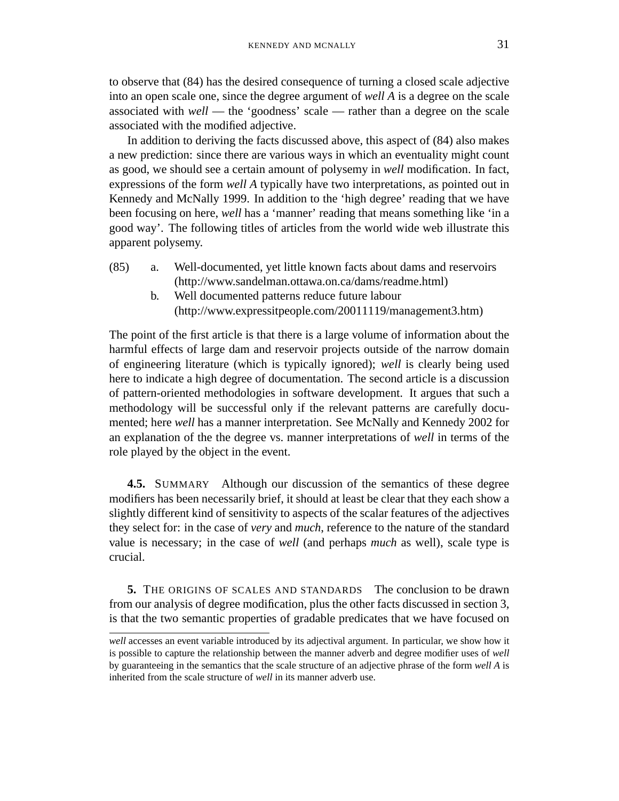to observe that (84) has the desired consequence of turning a closed scale adjective into an open scale one, since the degree argument of *well A* is a degree on the scale associated with *well* — the 'goodness' scale — rather than a degree on the scale associated with the modified adjective.

In addition to deriving the facts discussed above, this aspect of (84) also makes a new prediction: since there are various ways in which an eventuality might count as good, we should see a certain amount of polysemy in *well* modification. In fact, expressions of the form *well A* typically have two interpretations, as pointed out in Kennedy and McNally 1999. In addition to the 'high degree' reading that we have been focusing on here, *well* has a 'manner' reading that means something like 'in a good way'. The following titles of articles from the world wide web illustrate this apparent polysemy.

- (85) a. Well-documented, yet little known facts about dams and reservoirs (http://www.sandelman.ottawa.on.ca/dams/readme.html)
	- b. Well documented patterns reduce future labour (http://www.expressitpeople.com/20011119/management3.htm)

The point of the first article is that there is a large volume of information about the harmful effects of large dam and reservoir projects outside of the narrow domain of engineering literature (which is typically ignored); *well* is clearly being used here to indicate a high degree of documentation. The second article is a discussion of pattern-oriented methodologies in software development. It argues that such a methodology will be successful only if the relevant patterns are carefully documented; here *well* has a manner interpretation. See McNally and Kennedy 2002 for an explanation of the the degree vs. manner interpretations of *well* in terms of the role played by the object in the event.

**4.5.** SUMMARY Although our discussion of the semantics of these degree modifiers has been necessarily brief, it should at least be clear that they each show a slightly different kind of sensitivity to aspects of the scalar features of the adjectives they select for: in the case of *very* and *much*, reference to the nature of the standard value is necessary; in the case of *well* (and perhaps *much* as well), scale type is crucial.

**5.** THE ORIGINS OF SCALES AND STANDARDS The conclusion to be drawn from our analysis of degree modification, plus the other facts discussed in section 3, is that the two semantic properties of gradable predicates that we have focused on

*well* accesses an event variable introduced by its adjectival argument. In particular, we show how it is possible to capture the relationship between the manner adverb and degree modifier uses of *well* by guaranteeing in the semantics that the scale structure of an adjective phrase of the form *well A* is inherited from the scale structure of *well* in its manner adverb use.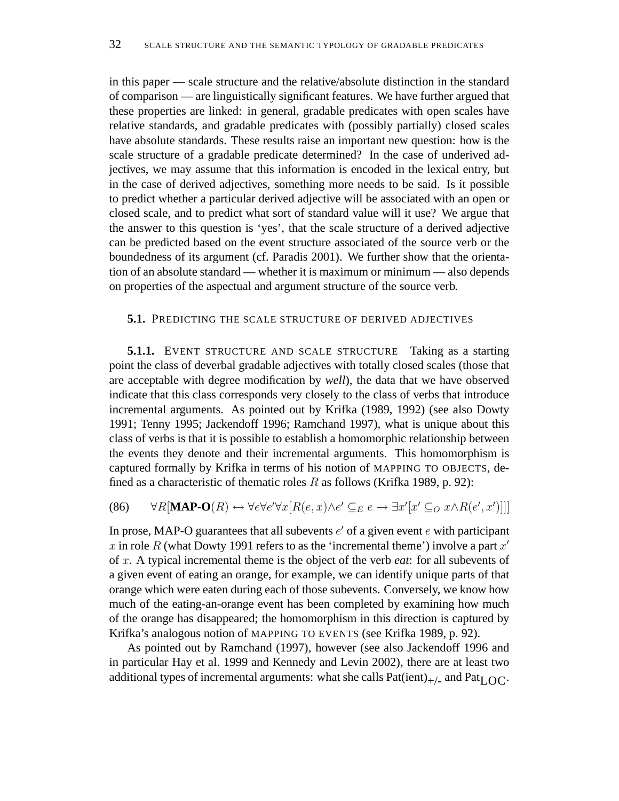in this paper — scale structure and the relative/absolute distinction in the standard of comparison — are linguistically significant features. We have further argued that these properties are linked: in general, gradable predicates with open scales have relative standards, and gradable predicates with (possibly partially) closed scales have absolute standards. These results raise an important new question: how is the scale structure of a gradable predicate determined? In the case of underived adjectives, we may assume that this information is encoded in the lexical entry, but in the case of derived adjectives, something more needs to be said. Is it possible to predict whether a particular derived adjective will be associated with an open or closed scale, and to predict what sort of standard value will it use? We argue that the answer to this question is 'yes', that the scale structure of a derived adjective can be predicted based on the event structure associated of the source verb or the boundedness of its argument (cf. Paradis 2001). We further show that the orientation of an absolute standard — whether it is maximum or minimum — also depends on properties of the aspectual and argument structure of the source verb.

# **5.1.** PREDICTING THE SCALE STRUCTURE OF DERIVED ADJECTIVES

**5.1.1.** EVENT STRUCTURE AND SCALE STRUCTURE Taking as a starting point the class of deverbal gradable adjectives with totally closed scales (those that are acceptable with degree modification by *well*), the data that we have observed indicate that this class corresponds very closely to the class of verbs that introduce incremental arguments. As pointed out by Krifka (1989, 1992) (see also Dowty 1991; Tenny 1995; Jackendoff 1996; Ramchand 1997), what is unique about this class of verbs is that it is possible to establish a homomorphic relationship between the events they denote and their incremental arguments. This homomorphism is captured formally by Krifka in terms of his notion of MAPPING TO OBJECTS, defined as a characteristic of thematic roles  $R$  as follows (Krifka 1989, p. 92):

(86) 
$$
\forall R[\text{MAP-O}(R) \leftrightarrow \forall e \forall e' \forall x [R(e,x) \land e' \subseteq_E e \to \exists x'[x' \subseteq_O x \land R(e',x')]]]
$$

In prose, MAP-O guarantees that all subevents  $e'$  of a given event  $e$  with participant x in role R (what Dowty 1991 refers to as the 'incremental theme') involve a part  $x'$ of x. A typical incremental theme is the object of the verb *eat*: for all subevents of a given event of eating an orange, for example, we can identify unique parts of that orange which were eaten during each of those subevents. Conversely, we know how much of the eating-an-orange event has been completed by examining how much of the orange has disappeared; the homomorphism in this direction is captured by Krifka's analogous notion of MAPPING TO EVENTS (see Krifka 1989, p. 92).

As pointed out by Ramchand (1997), however (see also Jackendoff 1996 and in particular Hay et al. 1999 and Kennedy and Levin 2002), there are at least two additional types of incremental arguments: what she calls  $Pat(ient)_{+/}$  and  $Pat_{LOC}$ .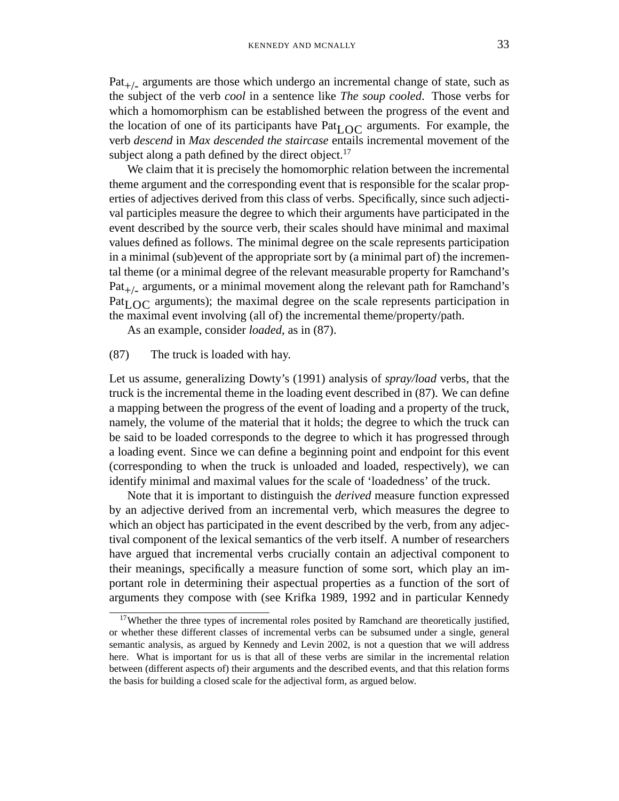$Pat_{+/-}$  arguments are those which undergo an incremental change of state, such as the subject of the verb *cool* in a sentence like *The soup cooled*. Those verbs for which a homomorphism can be established between the progress of the event and the location of one of its participants have  $Pat_{LOC}$  arguments. For example, the verb *descend* in *Max descended the staircase* entails incremental movement of the subject along a path defined by the direct object.<sup>17</sup>

We claim that it is precisely the homomorphic relation between the incremental theme argument and the corresponding event that is responsible for the scalar properties of adjectives derived from this class of verbs. Specifically, since such adjectival participles measure the degree to which their arguments have participated in the event described by the source verb, their scales should have minimal and maximal values defined as follows. The minimal degree on the scale represents participation in a minimal (sub)event of the appropriate sort by (a minimal part of) the incremental theme (or a minimal degree of the relevant measurable property for Ramchand's  $Pat_{+/-}$  arguments, or a minimal movement along the relevant path for Ramchand's Pat<sub>LOC</sub> arguments); the maximal degree on the scale represents participation in the maximal event involving (all of) the incremental theme/property/path.

As an example, consider *loaded*, as in (87).

#### (87) The truck is loaded with hay.

Let us assume, generalizing Dowty's (1991) analysis of *spray/load* verbs, that the truck is the incremental theme in the loading event described in (87). We can define a mapping between the progress of the event of loading and a property of the truck, namely, the volume of the material that it holds; the degree to which the truck can be said to be loaded corresponds to the degree to which it has progressed through a loading event. Since we can define a beginning point and endpoint for this event (corresponding to when the truck is unloaded and loaded, respectively), we can identify minimal and maximal values for the scale of 'loadedness' of the truck.

Note that it is important to distinguish the *derived* measure function expressed by an adjective derived from an incremental verb, which measures the degree to which an object has participated in the event described by the verb, from any adjectival component of the lexical semantics of the verb itself. A number of researchers have argued that incremental verbs crucially contain an adjectival component to their meanings, specifically a measure function of some sort, which play an important role in determining their aspectual properties as a function of the sort of arguments they compose with (see Krifka 1989, 1992 and in particular Kennedy

<sup>&</sup>lt;sup>17</sup>Whether the three types of incremental roles posited by Ramchand are theoretically justified, or whether these different classes of incremental verbs can be subsumed under a single, general semantic analysis, as argued by Kennedy and Levin 2002, is not a question that we will address here. What is important for us is that all of these verbs are similar in the incremental relation between (different aspects of) their arguments and the described events, and that this relation forms the basis for building a closed scale for the adjectival form, as argued below.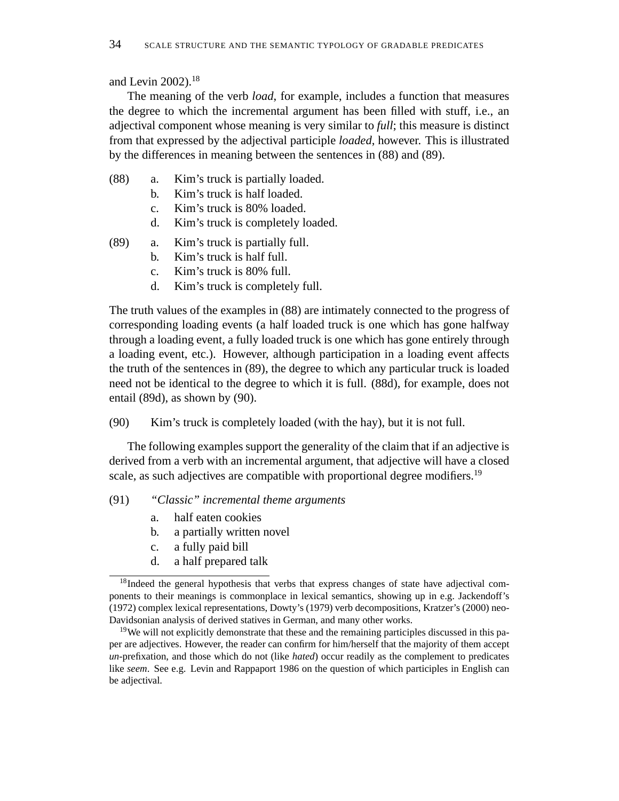and Levin 2002).<sup>18</sup>

The meaning of the verb *load*, for example, includes a function that measures the degree to which the incremental argument has been filled with stuff, i.e., an adjectival component whose meaning is very similar to *full*; this measure is distinct from that expressed by the adjectival participle *loaded*, however. This is illustrated by the differences in meaning between the sentences in (88) and (89).

- (88) a. Kim's truck is partially loaded.
	- b. Kim's truck is half loaded.
	- c. Kim's truck is 80% loaded.
	- d. Kim's truck is completely loaded.
- (89) a. Kim's truck is partially full.
	- b. Kim's truck is half full.
	- c. Kim's truck is 80% full.
	- d. Kim's truck is completely full.

The truth values of the examples in (88) are intimately connected to the progress of corresponding loading events (a half loaded truck is one which has gone halfway through a loading event, a fully loaded truck is one which has gone entirely through a loading event, etc.). However, although participation in a loading event affects the truth of the sentences in (89), the degree to which any particular truck is loaded need not be identical to the degree to which it is full. (88d), for example, does not entail (89d), as shown by (90).

(90) Kim's truck is completely loaded (with the hay), but it is not full.

The following examples support the generality of the claim that if an adjective is derived from a verb with an incremental argument, that adjective will have a closed scale, as such adjectives are compatible with proportional degree modifiers.<sup>19</sup>

# (91) *"Classic" incremental theme arguments*

- a. half eaten cookies
- b. a partially written novel
- c. a fully paid bill
- d. a half prepared talk

<sup>&</sup>lt;sup>18</sup>Indeed the general hypothesis that verbs that express changes of state have adjectival components to their meanings is commonplace in lexical semantics, showing up in e.g. Jackendoff's (1972) complex lexical representations, Dowty's (1979) verb decompositions, Kratzer's (2000) neo-Davidsonian analysis of derived statives in German, and many other works.

<sup>&</sup>lt;sup>19</sup>We will not explicitly demonstrate that these and the remaining participles discussed in this paper are adjectives. However, the reader can confirm for him/herself that the majority of them accept *un*-prefixation, and those which do not (like *hated*) occur readily as the complement to predicates like *seem*. See e.g. Levin and Rappaport 1986 on the question of which participles in English can be adjectival.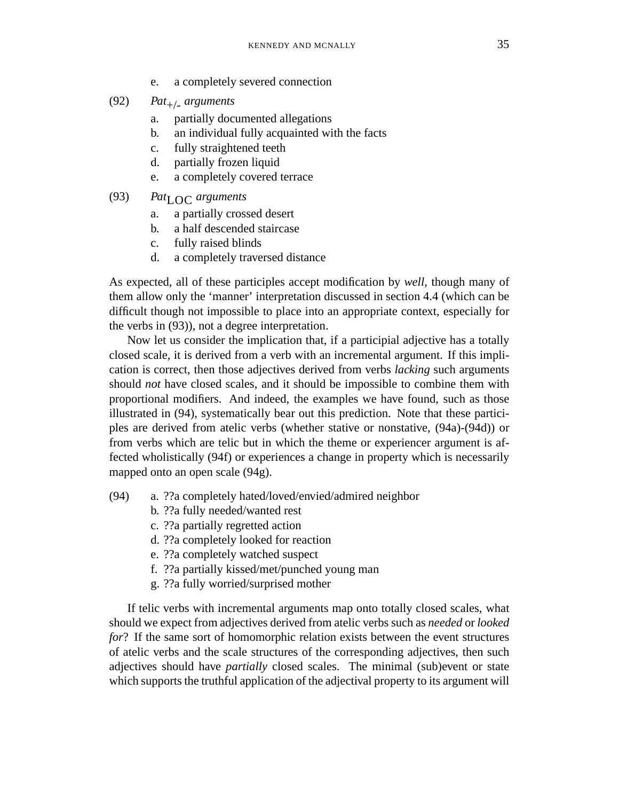- e. a completely severed connection
- $(92)$  *Pat*<sub>+/-</sub> *arguments* 
	- a. partially documented allegations
	- b. an individual fully acquainted with the facts
	- c. fully straightened teeth
	- d. partially frozen liquid
	- e. a completely covered terrace
- (93) *Pat*LOC *arguments*
	- a. a partially crossed desert
	- b. a half descended staircase
	- c. fully raised blinds
	- d. a completely traversed distance

As expected, all of these participles accept modification by *well*, though many of them allow only the 'manner' interpretation discussed in section 4.4 (which can be difficult though not impossible to place into an appropriate context, especially for the verbs in (93)), not a degree interpretation.

Now let us consider the implication that, if a participial adjective has a totally closed scale, it is derived from a verb with an incremental argument. If this implication is correct, then those adjectives derived from verbs *lacking* such arguments should *not* have closed scales, and it should be impossible to combine them with proportional modifiers. And indeed, the examples we have found, such as those illustrated in (94), systematically bear out this prediction. Note that these participles are derived from atelic verbs (whether stative or nonstative, (94a)-(94d)) or from verbs which are telic but in which the theme or experiencer argument is affected wholistically (94f) or experiences a change in property which is necessarily mapped onto an open scale (94g).

- (94) a. ??a completely hated/loved/envied/admired neighbor
	- b. ??a fully needed/wanted rest
	- c. ??a partially regretted action
	- d. ??a completely looked for reaction
	- e. ??a completely watched suspect
	- f. ??a partially kissed/met/punched young man
	- g. ??a fully worried/surprised mother

If telic verbs with incremental arguments map onto totally closed scales, what should we expect from adjectives derived from atelic verbs such as *needed* or *looked for*? If the same sort of homomorphic relation exists between the event structures of atelic verbs and the scale structures of the corresponding adjectives, then such adjectives should have *partially* closed scales. The minimal (sub)event or state which supports the truthful application of the adjectival property to its argument will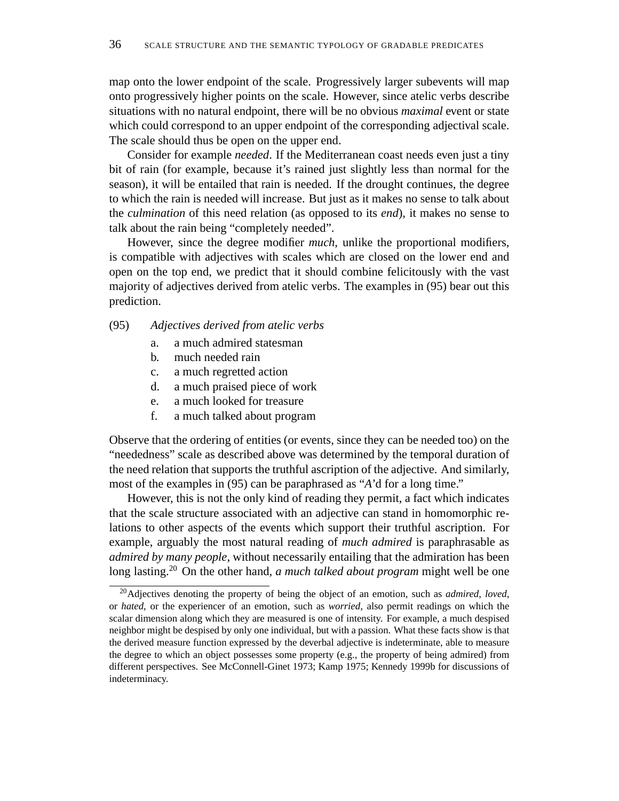map onto the lower endpoint of the scale. Progressively larger subevents will map onto progressively higher points on the scale. However, since atelic verbs describe situations with no natural endpoint, there will be no obvious *maximal* event or state which could correspond to an upper endpoint of the corresponding adjectival scale. The scale should thus be open on the upper end.

Consider for example *needed*. If the Mediterranean coast needs even just a tiny bit of rain (for example, because it's rained just slightly less than normal for the season), it will be entailed that rain is needed. If the drought continues, the degree to which the rain is needed will increase. But just as it makes no sense to talk about the *culmination* of this need relation (as opposed to its *end*), it makes no sense to talk about the rain being "completely needed".

However, since the degree modifier *much*, unlike the proportional modifiers, is compatible with adjectives with scales which are closed on the lower end and open on the top end, we predict that it should combine felicitously with the vast majority of adjectives derived from atelic verbs. The examples in (95) bear out this prediction.

## (95) *Adjectives derived from atelic verbs*

- a. a much admired statesman
- b. much needed rain
- c. a much regretted action
- d. a much praised piece of work
- e. a much looked for treasure
- f. a much talked about program

Observe that the ordering of entities (or events, since they can be needed too) on the "neededness" scale as described above was determined by the temporal duration of the need relation that supports the truthful ascription of the adjective. And similarly, most of the examples in (95) can be paraphrased as "*A*'d for a long time."

However, this is not the only kind of reading they permit, a fact which indicates that the scale structure associated with an adjective can stand in homomorphic relations to other aspects of the events which support their truthful ascription. For example, arguably the most natural reading of *much admired* is paraphrasable as *admired by many people*, without necessarily entailing that the admiration has been long lasting.<sup>20</sup> On the other hand, *a much talked about program* might well be one

<sup>20</sup>Adjectives denoting the property of being the object of an emotion, such as *admired*, *loved*, or *hated*, or the experiencer of an emotion, such as *worried*, also permit readings on which the scalar dimension along which they are measured is one of intensity. For example, a much despised neighbor might be despised by only one individual, but with a passion. What these facts show is that the derived measure function expressed by the deverbal adjective is indeterminate, able to measure the degree to which an object possesses some property (e.g., the property of being admired) from different perspectives. See McConnell-Ginet 1973; Kamp 1975; Kennedy 1999b for discussions of indeterminacy.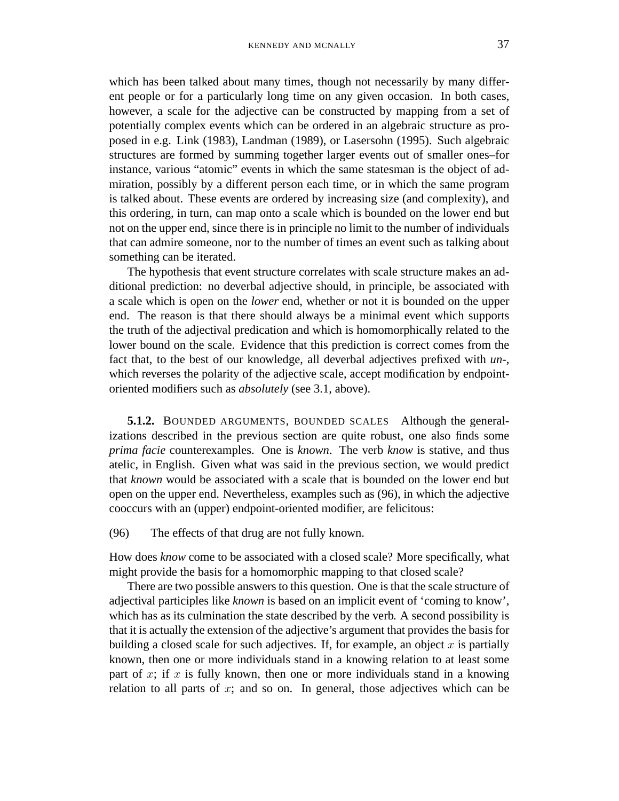which has been talked about many times, though not necessarily by many different people or for a particularly long time on any given occasion. In both cases, however, a scale for the adjective can be constructed by mapping from a set of potentially complex events which can be ordered in an algebraic structure as proposed in e.g. Link (1983), Landman (1989), or Lasersohn (1995). Such algebraic structures are formed by summing together larger events out of smaller ones–for instance, various "atomic" events in which the same statesman is the object of admiration, possibly by a different person each time, or in which the same program is talked about. These events are ordered by increasing size (and complexity), and this ordering, in turn, can map onto a scale which is bounded on the lower end but not on the upper end, since there is in principle no limit to the number of individuals that can admire someone, nor to the number of times an event such as talking about something can be iterated.

The hypothesis that event structure correlates with scale structure makes an additional prediction: no deverbal adjective should, in principle, be associated with a scale which is open on the *lower* end, whether or not it is bounded on the upper end. The reason is that there should always be a minimal event which supports the truth of the adjectival predication and which is homomorphically related to the lower bound on the scale. Evidence that this prediction is correct comes from the fact that, to the best of our knowledge, all deverbal adjectives prefixed with *un-*, which reverses the polarity of the adjective scale, accept modification by endpointoriented modifiers such as *absolutely* (see 3.1, above).

**5.1.2.** BOUNDED ARGUMENTS, BOUNDED SCALES Although the generalizations described in the previous section are quite robust, one also finds some *prima facie* counterexamples. One is *known*. The verb *know* is stative, and thus atelic, in English. Given what was said in the previous section, we would predict that *known* would be associated with a scale that is bounded on the lower end but open on the upper end. Nevertheless, examples such as (96), in which the adjective cooccurs with an (upper) endpoint-oriented modifier, are felicitous:

(96) The effects of that drug are not fully known.

How does *know* come to be associated with a closed scale? More specifically, what might provide the basis for a homomorphic mapping to that closed scale?

There are two possible answers to this question. One is that the scale structure of adjectival participles like *known* is based on an implicit event of 'coming to know', which has as its culmination the state described by the verb. A second possibility is that it is actually the extension of the adjective's argument that provides the basis for building a closed scale for such adjectives. If, for example, an object  $x$  is partially known, then one or more individuals stand in a knowing relation to at least some part of x; if x is fully known, then one or more individuals stand in a knowing relation to all parts of  $x$ ; and so on. In general, those adjectives which can be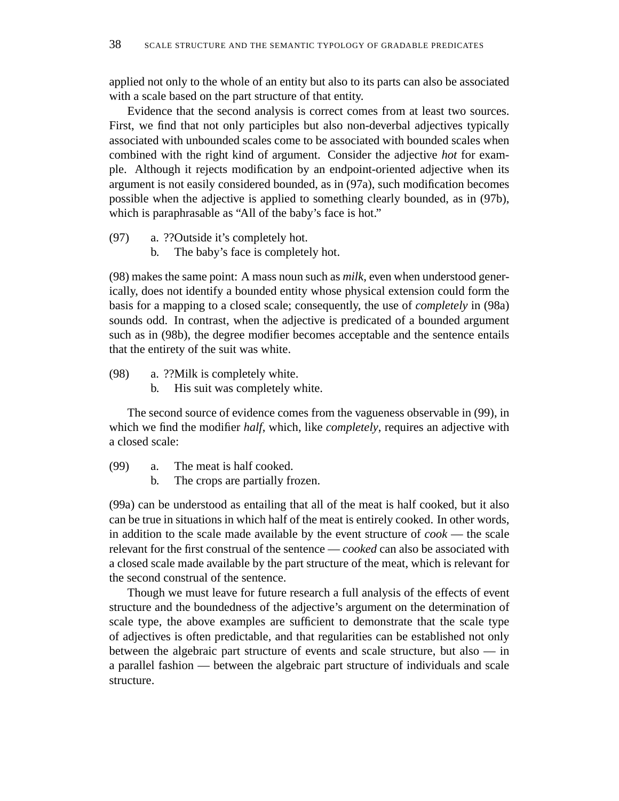applied not only to the whole of an entity but also to its parts can also be associated with a scale based on the part structure of that entity.

Evidence that the second analysis is correct comes from at least two sources. First, we find that not only participles but also non-deverbal adjectives typically associated with unbounded scales come to be associated with bounded scales when combined with the right kind of argument. Consider the adjective *hot* for example. Although it rejects modification by an endpoint-oriented adjective when its argument is not easily considered bounded, as in (97a), such modification becomes possible when the adjective is applied to something clearly bounded, as in (97b), which is paraphrasable as "All of the baby's face is hot."

- (97) a. ??Outside it's completely hot.
	- b. The baby's face is completely hot.

(98) makes the same point: A mass noun such as *milk*, even when understood generically, does not identify a bounded entity whose physical extension could form the basis for a mapping to a closed scale; consequently, the use of *completely* in (98a) sounds odd. In contrast, when the adjective is predicated of a bounded argument such as in (98b), the degree modifier becomes acceptable and the sentence entails that the entirety of the suit was white.

(98) a. ??Milk is completely white.

b. His suit was completely white.

The second source of evidence comes from the vagueness observable in (99), in which we find the modifier *half*, which, like *completely*, requires an adjective with a closed scale:

- (99) a. The meat is half cooked.
	- b. The crops are partially frozen.

(99a) can be understood as entailing that all of the meat is half cooked, but it also can be true in situations in which half of the meat is entirely cooked. In other words, in addition to the scale made available by the event structure of *cook* — the scale relevant for the first construal of the sentence — *cooked* can also be associated with a closed scale made available by the part structure of the meat, which is relevant for the second construal of the sentence.

Though we must leave for future research a full analysis of the effects of event structure and the boundedness of the adjective's argument on the determination of scale type, the above examples are sufficient to demonstrate that the scale type of adjectives is often predictable, and that regularities can be established not only between the algebraic part structure of events and scale structure, but also — in a parallel fashion — between the algebraic part structure of individuals and scale structure.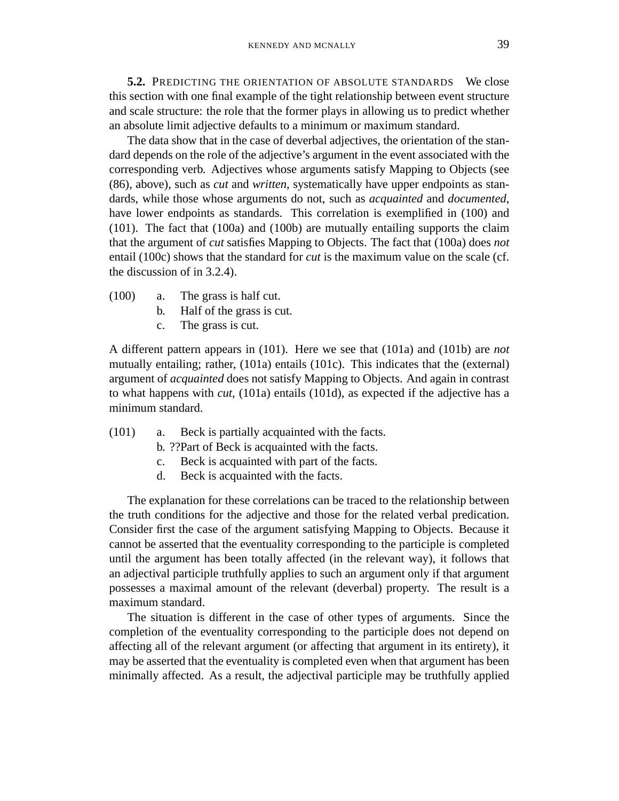**5.2.** PREDICTING THE ORIENTATION OF ABSOLUTE STANDARDS We close this section with one final example of the tight relationship between event structure and scale structure: the role that the former plays in allowing us to predict whether an absolute limit adjective defaults to a minimum or maximum standard.

The data show that in the case of deverbal adjectives, the orientation of the standard depends on the role of the adjective's argument in the event associated with the corresponding verb. Adjectives whose arguments satisfy Mapping to Objects (see (86), above), such as *cut* and *written*, systematically have upper endpoints as standards, while those whose arguments do not, such as *acquainted* and *documented*, have lower endpoints as standards. This correlation is exemplified in (100) and (101). The fact that (100a) and (100b) are mutually entailing supports the claim that the argument of *cut* satisfies Mapping to Objects. The fact that (100a) does *not* entail (100c) shows that the standard for *cut* is the maximum value on the scale (cf. the discussion of in 3.2.4).

- (100) a. The grass is half cut.
	- b. Half of the grass is cut.
	- c. The grass is cut.

A different pattern appears in (101). Here we see that (101a) and (101b) are *not* mutually entailing; rather, (101a) entails (101c). This indicates that the (external) argument of *acquainted* does not satisfy Mapping to Objects. And again in contrast to what happens with *cut*, (101a) entails (101d), as expected if the adjective has a minimum standard.

- (101) a. Beck is partially acquainted with the facts.
	- b. ??Part of Beck is acquainted with the facts.
	- c. Beck is acquainted with part of the facts.
	- d. Beck is acquainted with the facts.

The explanation for these correlations can be traced to the relationship between the truth conditions for the adjective and those for the related verbal predication. Consider first the case of the argument satisfying Mapping to Objects. Because it cannot be asserted that the eventuality corresponding to the participle is completed until the argument has been totally affected (in the relevant way), it follows that an adjectival participle truthfully applies to such an argument only if that argument possesses a maximal amount of the relevant (deverbal) property. The result is a maximum standard.

The situation is different in the case of other types of arguments. Since the completion of the eventuality corresponding to the participle does not depend on affecting all of the relevant argument (or affecting that argument in its entirety), it may be asserted that the eventuality is completed even when that argument has been minimally affected. As a result, the adjectival participle may be truthfully applied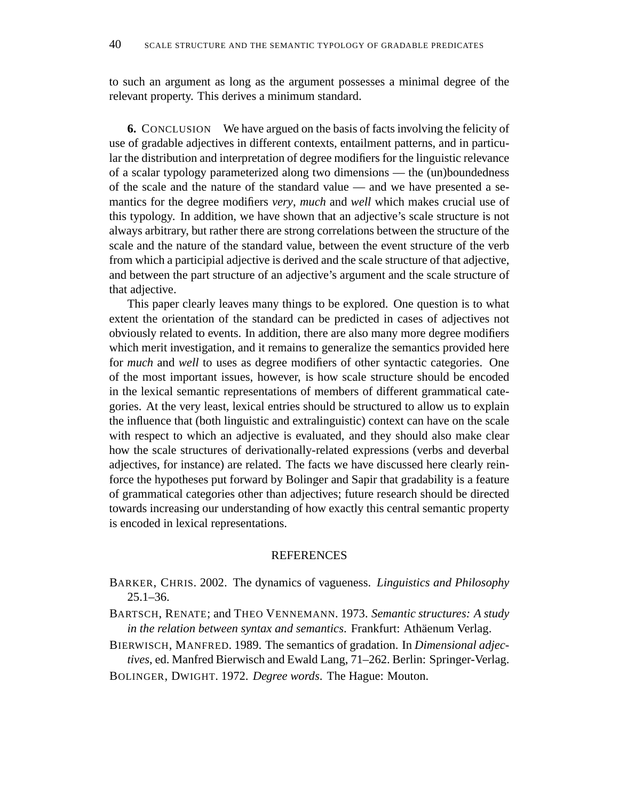to such an argument as long as the argument possesses a minimal degree of the relevant property. This derives a minimum standard.

**6.** CONCLUSION We have argued on the basis of facts involving the felicity of use of gradable adjectives in different contexts, entailment patterns, and in particular the distribution and interpretation of degree modifiers for the linguistic relevance of a scalar typology parameterized along two dimensions — the (un)boundedness of the scale and the nature of the standard value — and we have presented a semantics for the degree modifiers *very*, *much* and *well* which makes crucial use of this typology. In addition, we have shown that an adjective's scale structure is not always arbitrary, but rather there are strong correlations between the structure of the scale and the nature of the standard value, between the event structure of the verb from which a participial adjective is derived and the scale structure of that adjective, and between the part structure of an adjective's argument and the scale structure of that adjective.

This paper clearly leaves many things to be explored. One question is to what extent the orientation of the standard can be predicted in cases of adjectives not obviously related to events. In addition, there are also many more degree modifiers which merit investigation, and it remains to generalize the semantics provided here for *much* and *well* to uses as degree modifiers of other syntactic categories. One of the most important issues, however, is how scale structure should be encoded in the lexical semantic representations of members of different grammatical categories. At the very least, lexical entries should be structured to allow us to explain the influence that (both linguistic and extralinguistic) context can have on the scale with respect to which an adjective is evaluated, and they should also make clear how the scale structures of derivationally-related expressions (verbs and deverbal adjectives, for instance) are related. The facts we have discussed here clearly reinforce the hypotheses put forward by Bolinger and Sapir that gradability is a feature of grammatical categories other than adjectives; future research should be directed towards increasing our understanding of how exactly this central semantic property is encoded in lexical representations.

## REFERENCES

- BARKER, CHRIS. 2002. The dynamics of vagueness. *Linguistics and Philosophy* 25.1–36.
- BARTSCH, RENATE; and THEO VENNEMANN. 1973. *Semantic structures: A study in the relation between syntax and semantics*. Frankfurt: Athäenum Verlag.

BIERWISCH, MANFRED. 1989. The semantics of gradation. In *Dimensional adjectives*, ed. Manfred Bierwisch and Ewald Lang, 71–262. Berlin: Springer-Verlag.

BOLINGER, DWIGHT. 1972. *Degree words*. The Hague: Mouton.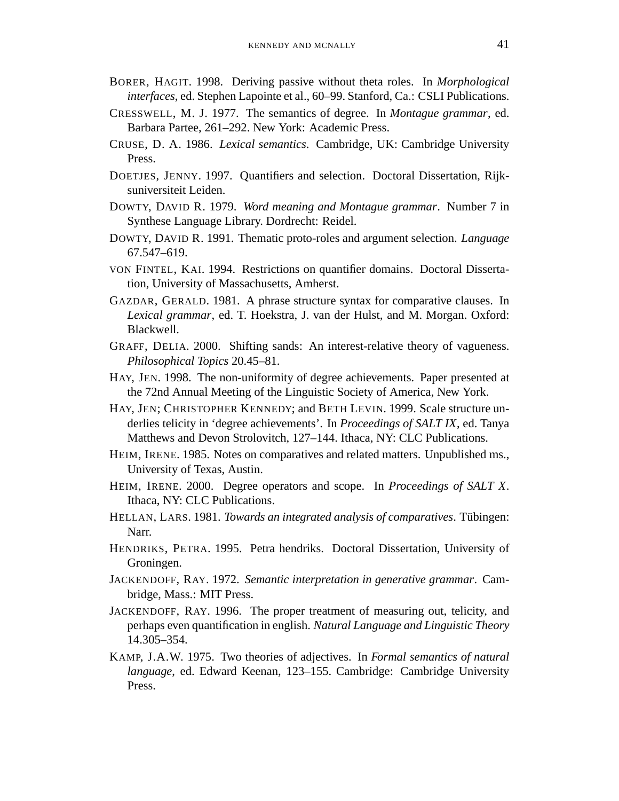- BORER, HAGIT. 1998. Deriving passive without theta roles. In *Morphological interfaces*, ed. Stephen Lapointe et al., 60–99. Stanford, Ca.: CSLI Publications.
- CRESSWELL, M. J. 1977. The semantics of degree. In *Montague grammar*, ed. Barbara Partee, 261–292. New York: Academic Press.
- CRUSE, D. A. 1986. *Lexical semantics*. Cambridge, UK: Cambridge University Press.
- DOETJES, JENNY. 1997. Quantifiers and selection. Doctoral Dissertation, Rijksuniversiteit Leiden.
- DOWTY, DAVID R. 1979. *Word meaning and Montague grammar*. Number 7 in Synthese Language Library. Dordrecht: Reidel.
- DOWTY, DAVID R. 1991. Thematic proto-roles and argument selection. *Language* 67.547–619.
- VON FINTEL, KAI. 1994. Restrictions on quantifier domains. Doctoral Dissertation, University of Massachusetts, Amherst.
- GAZDAR, GERALD. 1981. A phrase structure syntax for comparative clauses. In *Lexical grammar*, ed. T. Hoekstra, J. van der Hulst, and M. Morgan. Oxford: Blackwell.
- GRAFF, DELIA. 2000. Shifting sands: An interest-relative theory of vagueness. *Philosophical Topics* 20.45–81.
- HAY, JEN. 1998. The non-uniformity of degree achievements. Paper presented at the 72nd Annual Meeting of the Linguistic Society of America, New York.
- HAY, JEN; CHRISTOPHER KENNEDY; and BETH LEVIN. 1999. Scale structure underlies telicity in 'degree achievements'. In *Proceedings of SALT IX*, ed. Tanya Matthews and Devon Strolovitch, 127–144. Ithaca, NY: CLC Publications.
- HEIM, IRENE. 1985. Notes on comparatives and related matters. Unpublished ms., University of Texas, Austin.
- HEIM, IRENE. 2000. Degree operators and scope. In *Proceedings of SALT X*. Ithaca, NY: CLC Publications.
- HELLAN, LARS. 1981. *Towards an integrated analysis of comparatives*. Tubingen: ¨ Narr.
- HENDRIKS, PETRA. 1995. Petra hendriks. Doctoral Dissertation, University of Groningen.
- JACKENDOFF, RAY. 1972. *Semantic interpretation in generative grammar*. Cambridge, Mass.: MIT Press.
- JACKENDOFF, RAY. 1996. The proper treatment of measuring out, telicity, and perhaps even quantification in english. *Natural Language and Linguistic Theory* 14.305–354.
- KAMP, J.A.W. 1975. Two theories of adjectives. In *Formal semantics of natural language*, ed. Edward Keenan, 123–155. Cambridge: Cambridge University Press.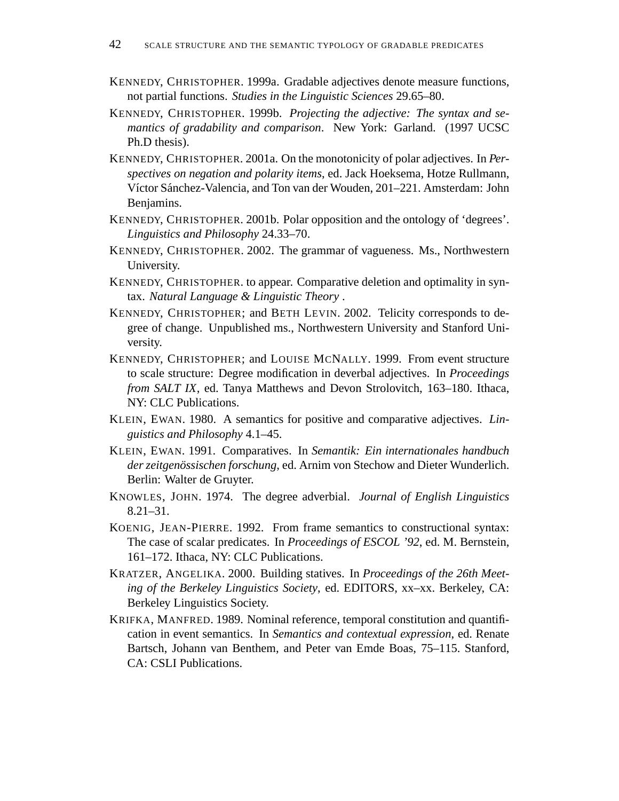- KENNEDY, CHRISTOPHER. 1999a. Gradable adjectives denote measure functions, not partial functions. *Studies in the Linguistic Sciences* 29.65–80.
- KENNEDY, CHRISTOPHER. 1999b. *Projecting the adjective: The syntax and semantics of gradability and comparison*. New York: Garland. (1997 UCSC Ph.D thesis).
- KENNEDY, CHRISTOPHER. 2001a. On the monotonicity of polar adjectives. In *Perspectives on negation and polarity items*, ed. Jack Hoeksema, Hotze Rullmann, Víctor Sánchez-Valencia, and Ton van der Wouden, 201–221. Amsterdam: John Benjamins.
- KENNEDY, CHRISTOPHER. 2001b. Polar opposition and the ontology of 'degrees'. *Linguistics and Philosophy* 24.33–70.
- KENNEDY, CHRISTOPHER. 2002. The grammar of vagueness. Ms., Northwestern University.
- KENNEDY, CHRISTOPHER. to appear. Comparative deletion and optimality in syntax. *Natural Language & Linguistic Theory* .
- KENNEDY, CHRISTOPHER; and BETH LEVIN. 2002. Telicity corresponds to degree of change. Unpublished ms., Northwestern University and Stanford University.
- KENNEDY, CHRISTOPHER; and LOUISE MCNALLY. 1999. From event structure to scale structure: Degree modification in deverbal adjectives. In *Proceedings from SALT IX*, ed. Tanya Matthews and Devon Strolovitch, 163–180. Ithaca, NY: CLC Publications.
- KLEIN, EWAN. 1980. A semantics for positive and comparative adjectives. *Linguistics and Philosophy* 4.1–45.
- KLEIN, EWAN. 1991. Comparatives. In *Semantik: Ein internationales handbuch* der zeitgenössischen forschung, ed. Arnim von Stechow and Dieter Wunderlich. Berlin: Walter de Gruyter.
- KNOWLES, JOHN. 1974. The degree adverbial. *Journal of English Linguistics* 8.21–31.
- KOENIG, JEAN-PIERRE. 1992. From frame semantics to constructional syntax: The case of scalar predicates. In *Proceedings of ESCOL '92*, ed. M. Bernstein, 161–172. Ithaca, NY: CLC Publications.
- KRATZER, ANGELIKA. 2000. Building statives. In *Proceedings of the 26th Meeting of the Berkeley Linguistics Society*, ed. EDITORS, xx–xx. Berkeley, CA: Berkeley Linguistics Society.
- KRIFKA, MANFRED. 1989. Nominal reference, temporal constitution and quantification in event semantics. In *Semantics and contextual expression*, ed. Renate Bartsch, Johann van Benthem, and Peter van Emde Boas, 75–115. Stanford, CA: CSLI Publications.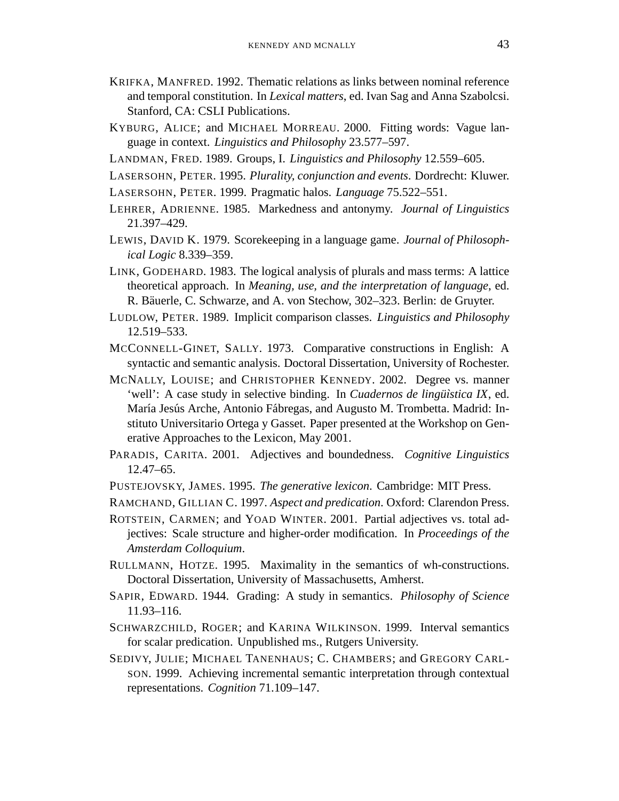- KRIFKA, MANFRED. 1992. Thematic relations as links between nominal reference and temporal constitution. In *Lexical matters*, ed. Ivan Sag and Anna Szabolcsi. Stanford, CA: CSLI Publications.
- KYBURG, ALICE; and MICHAEL MORREAU. 2000. Fitting words: Vague language in context. *Linguistics and Philosophy* 23.577–597.
- LANDMAN, FRED. 1989. Groups, I. *Linguistics and Philosophy* 12.559–605.
- LASERSOHN, PETER. 1995. *Plurality, conjunction and events*. Dordrecht: Kluwer.
- LASERSOHN, PETER. 1999. Pragmatic halos. *Language* 75.522–551.
- LEHRER, ADRIENNE. 1985. Markedness and antonymy. *Journal of Linguistics* 21.397–429.
- LEWIS, DAVID K. 1979. Scorekeeping in a language game. *Journal of Philosophical Logic* 8.339–359.
- LINK, GODEHARD. 1983. The logical analysis of plurals and mass terms: A lattice theoretical approach. In *Meaning, use, and the interpretation of language*, ed. R. Bäuerle, C. Schwarze, and A. von Stechow, 302–323. Berlin: de Gruyter.
- LUDLOW, PETER. 1989. Implicit comparison classes. *Linguistics and Philosophy* 12.519–533.
- MCCONNELL-GINET, SALLY. 1973. Comparative constructions in English: A syntactic and semantic analysis. Doctoral Dissertation, University of Rochester.
- MCNALLY, LOUISE; and CHRISTOPHER KENNEDY. 2002. Degree vs. manner 'well': A case study in selective binding. In *Cuadernos de lingüìstica IX*, ed. María Jesús Arche, Antonio Fábregas, and Augusto M. Trombetta. Madrid: Instituto Universitario Ortega y Gasset. Paper presented at the Workshop on Generative Approaches to the Lexicon, May 2001.
- PARADIS, CARITA. 2001. Adjectives and boundedness. *Cognitive Linguistics* 12.47–65.
- PUSTEJOVSKY, JAMES. 1995. *The generative lexicon*. Cambridge: MIT Press.
- RAMCHAND, GILLIAN C. 1997. *Aspect and predication*. Oxford: Clarendon Press.
- ROTSTEIN, CARMEN; and YOAD WINTER. 2001. Partial adjectives vs. total adjectives: Scale structure and higher-order modification. In *Proceedings of the Amsterdam Colloquium*.
- RULLMANN, HOTZE. 1995. Maximality in the semantics of wh-constructions. Doctoral Dissertation, University of Massachusetts, Amherst.
- SAPIR, EDWARD. 1944. Grading: A study in semantics. *Philosophy of Science* 11.93–116.
- SCHWARZCHILD, ROGER; and KARINA WILKINSON. 1999. Interval semantics for scalar predication. Unpublished ms., Rutgers University.
- SEDIVY, JULIE; MICHAEL TANENHAUS; C. CHAMBERS; and GREGORY CARL-SON. 1999. Achieving incremental semantic interpretation through contextual representations. *Cognition* 71.109–147.